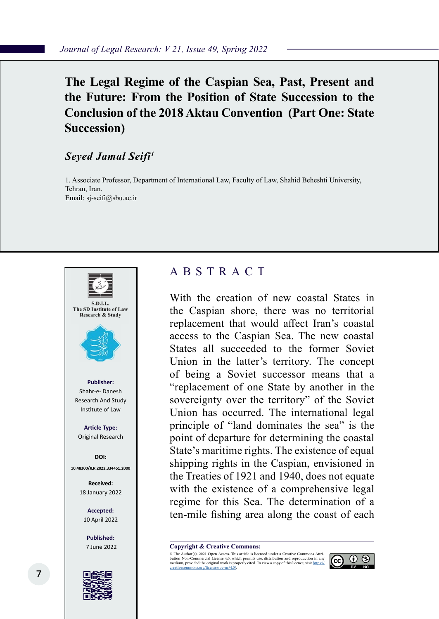# **The Legal Regime of the Caspian Sea, Past, Present and the Future: From the Position of State Succession to the Conclusion of the 2018 Aktau Convention (Part One: State Succession)**

### *Seyed Jamal Seifi1*

1. Associate Professor, Department of International Law, Faculty of Law, Shahid Beheshti University, Tehran, Iran. Email: sj-seifi@sbu.ac.ir



# ABSTRACT

With the creation of new coastal States in the Caspian shore, there was no territorial replacement that would affect Iran's coastal access to the Caspian Sea. The new coastal States all succeeded to the former Soviet Union in the latter's territory. The concept of being a Soviet successor means that a "replacement of one State by another in the sovereignty over the territory" of the Soviet Union has occurred. The international legal principle of "land dominates the sea" is the point of departure for determining the coastal State's maritime rights. The existence of equal shipping rights in the Caspian, envisioned in the Treaties of 1921 and 1940, does not equate with the existence of a comprehensive legal regime for this Sea. The determination of a ten-mile fishing area along the coast of each

**Copyright & Creative Commons:**<br>© The Author(s). 2021 Open Access. This article is licensed under a Creative Commons Attri-

© The Author(s). 2021 Open Access. This article is licensed under a Creative Commons Attri- bution Non-Commercial License 4.0, which permits use, distribution and reproduction in any medium, provided the original work is properly cited. To view a copy of this licence, visit https://<br>creativecommons.org/licenses/by-nc/4.0/.

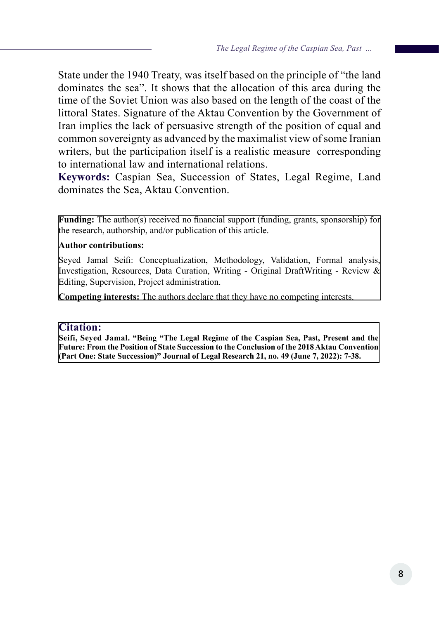State under the 1940 Treaty, was itself based on the principle of "the land dominates the sea". It shows that the allocation of this area during the time of the Soviet Union was also based on the length of the coast of the littoral States. Signature of the Aktau Convention by the Government of Iran implies the lack of persuasive strength of the position of equal and common sovereignty as advanced by the maximalist view of some Iranian writers, but the participation itself is a realistic measure corresponding to international law and international relations.

**Keywords:** Caspian Sea, Succession of States, Legal Regime, Land dominates the Sea, Aktau Convention.

**Funding:** The author(s) received no financial support (funding, grants, sponsorship) for the research, authorship, and/or publication of this article.

### **Author contributions:**

Seyed Jamal Seifi: Conceptualization, Methodology, Validation, Formal analysis, Investigation, Resources, Data Curation, Writing - Original DraftWriting - Review & Editing, Supervision, Project administration.

**Competing interests:** The authors declare that they have no competing interests.

### **Citation:**

**Seifi, Seyed Jamal. "Being "The Legal Regime of the Caspian Sea, Past, Present and the Future: From the Position of State Succession to the Conclusion of the 2018 Aktau Convention (Part One: State Succession)" Journal of Legal Research 21, no. 49 (June 7, 2022): 7-38.**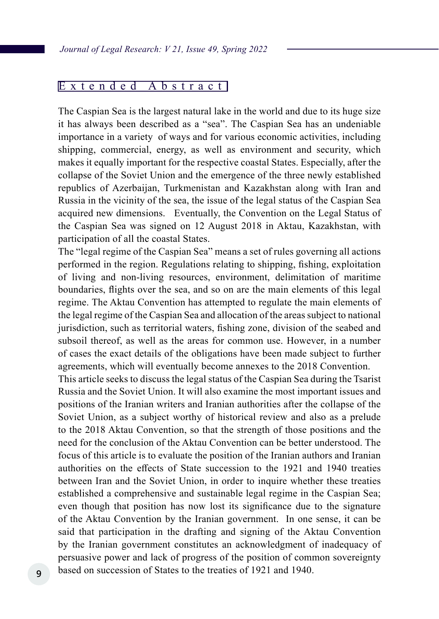### Extended Abstract

The Caspian Sea is the largest natural lake in the world and due to its huge size it has always been described as a "sea". The Caspian Sea has an undeniable importance in a variety of ways and for various economic activities, including shipping, commercial, energy, as well as environment and security, which makes it equally important for the respective coastal States. Especially, after the collapse of the Soviet Union and the emergence of the three newly established republics of Azerbaijan, Turkmenistan and Kazakhstan along with Iran and Russia in the vicinity of the sea, the issue of the legal status of the Caspian Sea acquired new dimensions. Eventually, the Convention on the Legal Status of the Caspian Sea was signed on 12 August 2018 in Aktau, Kazakhstan, with participation of all the coastal States.

The "legal regime of the Caspian Sea" means a set of rules governing all actions performed in the region. Regulations relating to shipping, fishing, exploitation of living and non-living resources, environment, delimitation of maritime boundaries, flights over the sea, and so on are the main elements of this legal regime. The Aktau Convention has attempted to regulate the main elements of the legal regime of the Caspian Sea and allocation of the areas subject to national jurisdiction, such as territorial waters, fishing zone, division of the seabed and subsoil thereof, as well as the areas for common use. However, in a number of cases the exact details of the obligations have been made subject to further agreements, which will eventually become annexes to the 2018 Convention.

This article seeks to discuss the legal status of the Caspian Sea during the Tsarist Russia and the Soviet Union. It will also examine the most important issues and positions of the Iranian writers and Iranian authorities after the collapse of the Soviet Union, as a subject worthy of historical review and also as a prelude to the 2018 Aktau Convention, so that the strength of those positions and the need for the conclusion of the Aktau Convention can be better understood. The focus of this article is to evaluate the position of the Iranian authors and Iranian authorities on the effects of State succession to the 1921 and 1940 treaties between Iran and the Soviet Union, in order to inquire whether these treaties established a comprehensive and sustainable legal regime in the Caspian Sea; even though that position has now lost its significance due to the signature of the Aktau Convention by the Iranian government. In one sense, it can be said that participation in the drafting and signing of the Aktau Convention by the Iranian government constitutes an acknowledgment of inadequacy of persuasive power and lack of progress of the position of common sovereignty based on succession of States to the treaties of 1921 and 1940.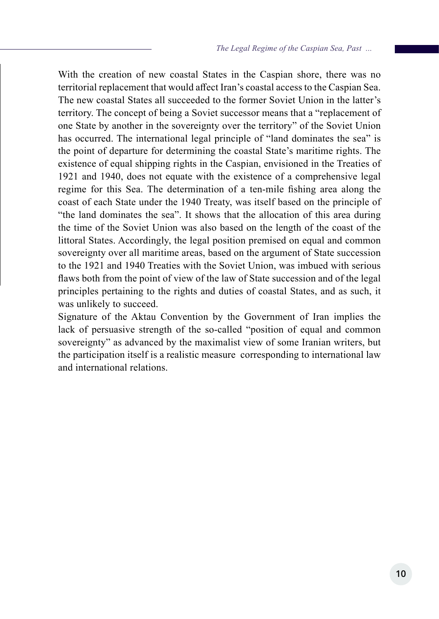With the creation of new coastal States in the Caspian shore, there was no territorial replacement that would affect Iran's coastal access to the Caspian Sea. The new coastal States all succeeded to the former Soviet Union in the latter's territory. The concept of being a Soviet successor means that a "replacement of one State by another in the sovereignty over the territory" of the Soviet Union has occurred. The international legal principle of "land dominates the sea" is the point of departure for determining the coastal State's maritime rights. The existence of equal shipping rights in the Caspian, envisioned in the Treaties of 1921 and 1940, does not equate with the existence of a comprehensive legal regime for this Sea. The determination of a ten-mile fishing area along the coast of each State under the 1940 Treaty, was itself based on the principle of "the land dominates the sea". It shows that the allocation of this area during the time of the Soviet Union was also based on the length of the coast of the littoral States. Accordingly, the legal position premised on equal and common sovereignty over all maritime areas, based on the argument of State succession to the 1921 and 1940 Treaties with the Soviet Union, was imbued with serious flaws both from the point of view of the law of State succession and of the legal principles pertaining to the rights and duties of coastal States, and as such, it was unlikely to succeed.

Signature of the Aktau Convention by the Government of Iran implies the lack of persuasive strength of the so-called "position of equal and common sovereignty" as advanced by the maximalist view of some Iranian writers, but the participation itself is a realistic measure corresponding to international law and international relations.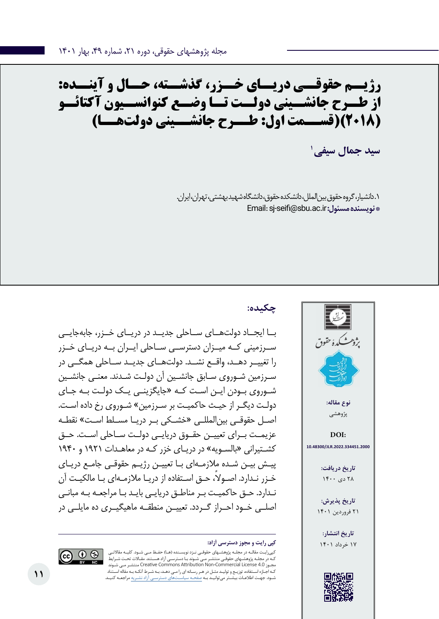# **رژیــم حقوقــی دریــای خــزر، گذشــته، حــال و آینــده: از طــرح جانشــینی دولــت تــا وضــع کنوانســیون آکتائــو )2018()قســمت اول: طــرح جانشــینی دولتهــا(**

**1 سید جمال سیفی**

.1 دانشیار، گروه حقوق بینالملل، دانشکده حقوق، دانشگاه شهید بهشتی، تهران، ایران. Email: sj-seifi@sbu.ac.ir **:مسئول نویسنده\*** 

# **چکیده:**

بــا ایجــاد دولتهــای ســاحلی جدیــد در دریــای خــزر، جابهجایــی ســرزمینی کــه میــزان دسترســی ســاحلی ایــران بــه دریــای خــزر را تغییــر دهــد، واقــع نشــد. دولتهــای جدیــد ســاحلی همگــی در سـرزمین شـوروی سـابق جانشـین آن دولـت شـدند. معنـی جانشـین شـوروی بـودن ایـن اسـت کـه »جایگزینـی یـک دولـت بـه جـای دولـت دیگـر از حیـث حاکمیـت بر سـرزمین« شـوروی رخ داده اسـت. اصـل حقوقـی بینالمللـی »خشـکی بـر دریـا مسـلط اسـت« نقطـه عزیمــت بــرای تعییــن حقــوق دریایــی دولــت ســاحلی اســت. حــق کشـتیرانی »بالسـویه« در دریـای خزر کـه در معاهـدات 1921 و 1940 پیـش بیـن شـده مالزمـهای بـا تعییـن رژیـم حقوقـی جامـع دریـای ً خـزر نـدارد. اصـوال، حـق اسـتفاده از دریـا مالزمـهای بـا مالکیـت آن نـدارد. حـق حاکمیـت بـر مناطـق دریایـی بایـد بـا مراجعـه بـه مبانـی اصلــی خــود احــراز گــردد. تعییــن منطقــه ماهیگیــری ده مایلــی در





کپیرایـت مقالـه در مجلـه پژوهشـهای حقوقـی نـزد نویسـنده )هـا( حفـظ مـی شـود. کلیـه مقاالتـی کـه در مجلـه پژوهشـهای حقوقـی منتشـر مـی شـوند بـا دسترسـی آزاد هسـتند. مقـاالت تحـت شـرایط شـوند مـی منتشـر Creative Commons Attribution Non-Commercial License 4.0 مجـوز کـه اجـازه اسـتفاده، توزیـع و تولیـد مثـل در هـر رسـانه ای را مـی دهـد، بـه شـرط آنکـه بـه مقاله اسـتناد شـود. جهـت اطالعـات بیشـتر میتوانیـد بـه صفحـه سیاسـتهای دسترسـی آزاد نشـریه مراجعـه کنیـد.

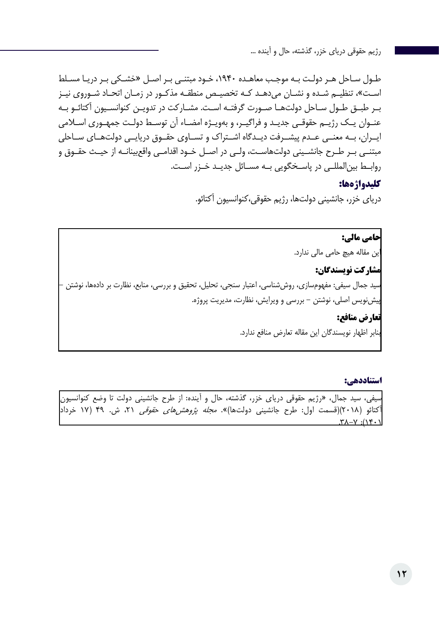طـول سـاحل هـر دولـت بـه موجـب معاهـده ،1940 خـود مبتنـی بـر اصـل »خشـکی بـر دریـا مسـلط اسـت«، تنظیـم شـده و نشـان میدهـد کـه تخصیـص منطقـه مذکـور در زمـان اتحـاد شـوروی نیـز بـر طبـق طـول سـاحل دولتهـا صـورت گرفتـه اسـت. مشـارکت در تدویـن کنوانسـیون آکتائـو بـه عنـوان یـک رژیـم حقوقـی جدیـد و فراگیـر، و بهویـژه امضـاء آن توسـط دولـت جمهـوری اسـامی ایــران، بــه معنــی عــدم پیشــرفت دیــدگاه اشــتراک و تســاوی حقــوق دریایــی دولتهــای ســاحلی مبتنـی بـر طـرح جانشـینی دولتهاسـت، ولـی در اصـل خـود اقدامـی واقعبینانـه از حیـث حقـوق و روابــط بینالمللــی در پاســخگویی بــه مســائل جدیــد خــزر اســت.

### **کلیدواژهها:**

دریای خزر، جانشینی دولتها، رژیم حقوقی،کنوانسیون آکتائو.

**حامی مالی:**  این مقاله هیچ حامی مالی ندارد. **مشارکت نویسندگان:**  سید جمال سیفی: مفهومسازی، روششناسی، اعتبار سنجی، تحلیل، تحقیق و بررسی، منابع، نظارت بر دادهها، نوشتن - پیشنویس اصلی، نوشتن - بررسی و ویرایش، نظارت، مدیریت پروژه. **تعارض منافع:**  بنابر اظهار نویسندگان این مقاله تعارض منافع ندارد.

**استناددهی:** 

سیفی، سید جمال، »رژیم حقوقی دریای خزر، گذشته، حال و آینده: از طرح جانشینی دولت تا وضع کنوانسیون آکتائو (۲۰۱۸)(قسمت اول: طرح جانشینی دولتها)». *مجله پژوهشهای حقوقی* ۲۱، ش. ۴۹ (۱۷ خرداد<mark>.</mark>  $\lambda$   $\uparrow$   $\uparrow$   $\uparrow$   $\uparrow$   $\uparrow$   $\uparrow$   $\uparrow$   $\uparrow$   $\uparrow$   $\uparrow$   $\uparrow$   $\uparrow$   $\uparrow$   $\uparrow$   $\uparrow$   $\uparrow$   $\uparrow$   $\uparrow$   $\uparrow$   $\uparrow$   $\uparrow$   $\uparrow$   $\uparrow$   $\uparrow$   $\uparrow$   $\uparrow$   $\uparrow$   $\uparrow$   $\uparrow$   $\uparrow$   $\uparrow$   $\uparrow$   $\uparrow$   $\uparrow$   $\uparrow$   $\uparrow$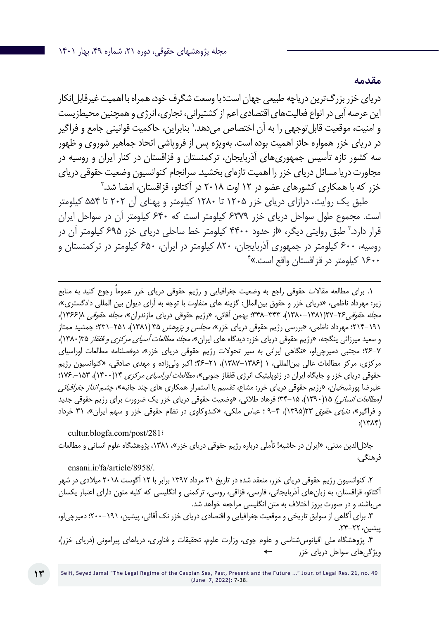دریای خزر بزرگترین دریاچه طبیعی جهان است؛ با وسعت شگرف خود، همراه با اهمیت غیرقابل انکار این عرصه آبی در انواع فعالیتهای اقتصادی اعم از کشتیرانی، تجاری، انرژی و همچنین محیطزیست و امنیت، موقعیت قابل توجهی را به آن اختصاص میدهد. ٰ بنابراین، حاکمیت قوانینی جامع و فراگیر در دریای خزر همواره حائز اهمیت بوده است. بهویژه پس از فروپاشی اتحاد جماهیر شوروی و ظهور سه کشور تازه تأسیس جمهوریهای آذربایجان، ترکمنستان و قزاقستان در کنار ایران و روسیه در مجاورت دریا مسائل دریای خزر را اهمیت تازهای بخشید. سرانجام کنوانسیون وضعیت حقوقی دریای خزر که با همکاری کشورهای عضو در ۱۲ اوت ۲۰۱۸ در آکتائو، قزاقستان، امضا شد.<sup>۲</sup>

طبق یک روایت، درازای دریای خزر 1205 تا 1280 کیلومتر و پهنای آن 202 تا 554 کیلومتر است. مجموع طول سواحل دریای خزر 6379 کیلومتر است که 640 کیلومتر آن در سواحل ایران 3 طبق روایتی دیگر، »از حدود 4400 کیلومتر خط ساحلی دریای خزر 695 کیلومتر آن در قرار دارد. روسیه، 600 کیلومتر در جمهوری آذربایجان، 820 کیلومتر در ایران، 650 کیلومتر در ترکمنستان و 4 1600 کیلومتر در قزاقستان واقع است.«

1 ً . برای مطالعه مقاالت حقوقی راجع به وضعیت جغرافیایی و رژیم حقوقی دریای خزر عموما رجوع کنید به منابع زیر: مهرداد ناظمی، »دریای خزر و حقوق بینالملل: گزینه های متفاوت با توجه به آرای دیوان بین المللی دادگستری«، مج*له حقوقی ۲۶–*۲۷(۱۳۸۱–۱۳۸۰)، ۳۴۳–۳۴۸: بهمن آقائی، «رژیم حقوقی دریای مازندران»*، مجله حقوقی ۱*(۱۳۶۶)، 19۱–۲۱۴؛ مهرداد ناظمی، «بررسی رژیم حقوقی دریای خزر»*، مجلس و پژوهش* ۳۵ (۱۳۸۱)، ۲۵۱–۳۲۱؛ جمشید ممتاز و سعید میرزائی ینگجه، «رژیم حقوقی دریای خزر: دیدگاه های ایران»*، مجله مطالعات آسیای مرکزی و قفقاز* ۱۳۵(۱۳۸۰)، 26-7؛ مجتبی دمیرچیلو، »نگاهی ایرانی به سیر تحوالت رژیم حقوقی دریای خزر«، دوفصلنامه مطالعات اوراسیای مرکزی، مرکز مطالعات عالی بینالمللی، 1 )1387-1386(، 46-21؛ اکبر ولیزاده و مهدی صادقی، »کنوانسیون رژیم حقوقی دریای خزر و جایگاه ایران در ژئوپلیتیک انرژی قفقاز جنوبی»، *مطالعات اوراسیای مرکزی* ۱۴(۱۴۰۰)، ۱۲۵–۱۲۶: علیرضا پورشیخیان، «رژیم حقوقی دریای خزر: مشاع، تقسیم یا استمرار همکاری های چند جانبه»، *چشم انداز جغرافیائی* )مطالعات انسانی( 15)1390(، 34-15؛ فرهاد طالئی، »وضعیت حقوقی دریای خزر یک ضرورت برای رژیم حقوقی جدید و فراگیر»، *دنیای حقوق* 2۲(۱۳۹۵)، ۴-۹ ؛ عباس ملکی، «کندوکاوی در نظام حقوقی خزر و سهم ایران»، ۳۱ خرداد  $:(\Upsilon \wedge \Upsilon)$ 

 cultur.blogfa.com/post/281؛ جاللالدین مدنی، »ایران در حاشیه! تأملی درباره رژیم حقوقی دریای خزر«، ،1381 پژوهشگاه علوم انسانی و مطالعات فرهنگی،

ensani.ir/fa/article/8958/.

.2 کنوانسیون رژیم حقوقی دریای خزر، منعقد شده در تاریخ 21 مرداد 1397 برابر با 12 آگوست 2018 میالدی در شهر آکتائو، قزاقستان، به زبانهای آذربایجانی، فارسی، قزاقی، روسی، ترکمنی و انگلیسی که کلیه متون دارای اعتبار یکسان میباشند و در صورت بروز اختالف به متن انگلیسی مراجعه خواهد شد.

.3 برای آگاهی از سوابق تاریخی و موقعیت جغرافیایی و اقتصادی دریای خزر نک آقائی، پیشین، 200-191؛ دمیرچیلو، پیشین، .24-22

.4 پژوهشگاه ملی اقیانوسشناسی و علوم جوی، وزارت علوم، تحقیقات و فناوری، دریاهای پیرامونی )دریای خزر(، ویژگیهای سواحل دریای خزر ←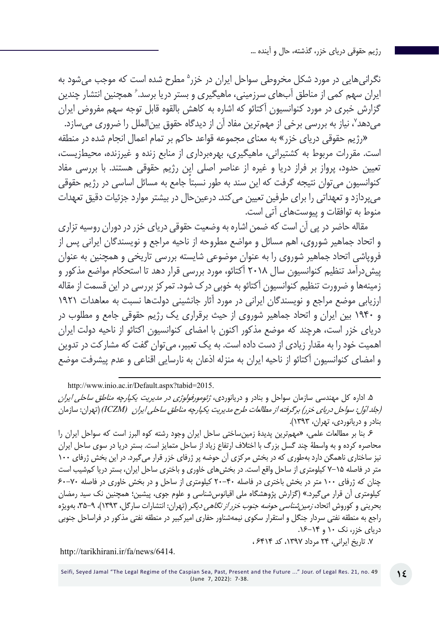نگرانیهایی در مورد شکل مخروطی سواحل ایران در خزر<sup>ه</sup> مطرح شده است که موجب میشود به ایران سهم کمی از مناطق آبهای سرزمینی، ماهیگیری و بستر دریا برسد. ٔ همچنین انتشار چندین گزارش خبری در مورد کنوانسیون آکتائو که اشاره به کاهش بالقوه قابل توجه سهم مفروض ایران میدهد<sup>۷</sup>، نیاز به بررسی برخی از مهمترین مفاد آن از دیدگاه حقوق بین|لملل را ضروری میسازد.

»رژیم حقوقی دریای خزر« به معنای مجموعه قواعد حاکم بر تمام اعمال انجام شده در منطقه است. مقررات مربوط به کشتیرانی، ماهیگیری، بهرهبرداری از منابع زنده و غیرزنده، محیطزیست، تعیین حدود، پرواز بر فراز دریا و غیره از عناصر اصلی این رژیم حقوقی هستند. با بررسی مفاد کنوانسیون می ً توان نتیجه گرفت که این سند به طور نسبتا جامع به مسائل اساسی در رژیم حقوقی میپردازد و تعهداتی را برای طرفین تعیین میکند. درعینحال در بیشتر موارد جزئیات دقیق تعهدات منوط به توافقات و پیوستهای آتی است.

مقاله حاضر در پی آن است که ضمن اشاره به وضعیت حقوقی دریای خزر در دوران روسیه تزاری و اتحاد جماهیر شوروی، اهم مسائل و مواضع مطروحه از ناحیه مراجع و نویسندگان ایرانی پس از فروپاشی اتحاد جماهیر شوروی را به عنوان موضوعی شایسته بررسی تاریخی و همچنین به عنوان پیشدرآمد تنظیم کنوانسیون سال 2018 آکتائو، مورد بررسی قرار دهد تا استحکام مواضع مذکور و زمینهها و ضرورت تنظیم کنوانسیون آکتائو به خوبی درک شود. تمرکز بررسی در این قسمت از مقاله ارزیابی موضع مراجع و نویسندگان ایرانی در مورد آثار جانشینی دولتها نسبت به معاهدات 1921 و 1940 بین ایران و اتحاد جماهیر شوروی از حیث برقراری یک رژیم حقوقی جامع و مطلوب در دریای خزر است، هرچند که موضع مذکور اکنون با امضای کنوانسیون اکتائو از ناحیه دولت ایران اهمیت خود را به مقدار زیادی از دست داده است. به یک تعبیر، میتوان گفت که مشارکت در تدوین و امضای کنوانسیون آکتائو از ناحیه ایران به منزله اذعان به نارسایی اقناعی و عدم پیشرفت موضع

http://www.inio.ac.ir/Default.aspx?tabid=2015.

.5 اداره کل مهندسی سازمان سواحل و بنادر و دریانوردی، ژئومورفولوژي در مديريت يكپارچه مناطق ساحلي ايران (جلد *اوّل: سواحل درياي خزر) برگرفته از مطالعات طرح مديريت يكپارچه مناطق ساحل<i>ي ايران (ICZM)* (تهران: سازمان بنادر و دریانوردی، تهران، 1393(.

.6 بنا بر مطالعات علمی، »مهمترین پدیدۀ زمینساختی ساحل ایران وجود رشته كوه البرز است كه سواحل ایران را محاصره كرده و به واسطة چند گسل بزرگ با اختالف ارتفاع زیاد از ساحل متمایز است. بستر دریا در سوی ساحل ایران نیز ساختاری ناهمگن دارد بهطوری كه در بخش مركزی آن حوضه پر ژرفای خزر قرار میگیرد. در این بخش ژرفای ۱۰۰ متر در فاصله 7-15 كیلومتری از ساحل واقع است. در بخشهای خاوری و باختری ساحل ایران، بستر دریا كمشیب است چنان كه ژرفای 100 متر در بخش باختری در فاصله 20-40 كیلومتری از ساحل و در بخش خاوری در فاصله 60-70 كیلومتری آن قرار میگیرد.« )گزارش پژوهشگاه ملی اقیانوسشناسی و علوم جوی، پیشین؛ همچنین نک سید رمضان بحرینی و کوروش اتحاد، زمینشناسی حوضه جنوب خزر از نگاهی دیگر )تهران: انتشارات سارگل، 1393(، ،35-9 بهویژه راجع به منطقه نفتی سردار جنگل و استقرار سکوی نیمهشناور حفاری امیرکبیر در منطقه نفتی مذکور در فراساحل جنوبی دریای خزر، نک ۱۰ و ۱۴-۱۶.

.7 تاریخ ایرانی، 24 مرداد ،1397 کد 6414 ،

http://tarikhirani.ir/fa/news/6414.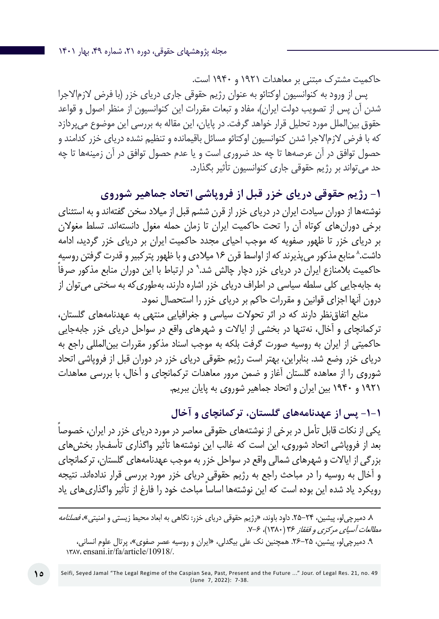حاکمیت مشترک مبتنی بر معاهدات 1921 و 1940 است.

پس از ورود به کنوانسیون اوکتائو به عنوان رژیم حقوقی جاری دریای خزر )با فرض الزماالجرا شدن آن پس از تصویب دولت ایران)، مفاد و تبعات مقررات این کنوانسیون از منظر اصول و قواعد حقوق بینالملل مورد تحلیل قرار خواهد گرفت. در پایان، این مقاله به بررسی این موضوع میپردازد که با فرض الزماالجرا شدن کنوانسیون اوکتائو مسائل باقیمانده و تنظیم نشده دریای خزر کدامند و حصول توافق در آن عرصهها تا چه حد ضروری است و یا عدم حصول توافق در آن زمینهها تا چه حد میتواند بر رژیم حقوقی جاری کنوانسیون تأثیر بگذارد.

**-1 رژیم حقوقی دریای خزر قبل از فروپاشی اتحاد جماهیر شوروی**

نوشتهها از دوران سیادت ایران در دریای خزر از قرن ششم قبل از میالد سخن گفتهاند و به استثنای برخی دورانهای کوتاه آن را تحت حاکمیت ایران تا زمان حمله مغول دانستهاند. تسلط مغوالن بر دریای خزر تا ظهور صفویه که موجب احیای مجدد حاکمیت ایران بر دریای خزر گردید، ادامه داشت.^ منابع مذکور میپذیرند که از اواسط قرن ۱۶ میلادی و با ظهور پترکبیر و قدرت گرفتن روسیه حاکمیت بلامنازع ایران در دریای خزر دچار چالش شد.<sup>۹</sup> در ارتباط با این دوران منابع مذکور صرفاً به جابهجایی کلی سلطه سیاسی در اطراف دریای خزر اشاره دارند، بهطوریکه به سختی میتوان از درون آنها اجزای قوانین و مقررات حاکم بر دریای خزر را استحصال نمود.

منابع اتفاقنظر دارند که در اثر تحوالت سیاسی و جغرافیایی منتهی به عهدنامههای گلستان، ترکمانچای و آخال، نهتنها در بخشی از ایاالت و شهرهای واقع در سواحل دریای خزر جابهجایی حاکمیتی از ایران به روسیه صورت گرفت بلکه به موجب اسناد مذکور مقررات بینالمللی راجع به دریای خزر وضع شد. بنابراین، بهتر است رژیم حقوقی دریای خزر در دوران قبل از فروپاشی اتحاد شوروی را از معاهده گلستان آغاز و ضمن مرور معاهدات ترکمانچای و آخال، با بررسی معاهدات 1921 و 1940 بین ایران و اتحاد جماهیر شوروی به پایان ببریم.

**-1-1 پس از عهدنامههای گلستان، ترکمانچای و آخال**

یکی از نکات قابل تأمل در برخی از نوشتههای حقوقی معاصر در مورد دریای خزر در ایران، خصوصا بعد از فروپاشی اتحاد شوروی، این است که غالب این نوشتهها تأثیر واگذاری تأسفبار بخشهای بزرگی از ایاالت و شهرهای شمالی واقع در سواحل خزر به موجب عهدنامههای گلستان، ترکمانچای و آخال به روسیه را در مباحث راجع به رژیم حقوقی دریای خزر مورد بررسی قرار ندادهاند. نتیجه رویکرد یاد شده این بوده است که این نوشتهها اساسا مباحث خود را فارغ از تأثیر واگذاریهای یاد

۸. دمیرچی[و، پیشین، ۲۴-۲۵. داود باوند، «رژیم حقوقی دریای خزر: نگاهی به ابعاد محیط زیستی و امنیتی»، *فصلنامه* مطالعات آسیای مرکزی و قفقاز ۳۶ (۱۳۸۰)، ۶-۷.

.9 دمیرچیلو، پیشین، .26-25 همچنین نک علی بیگدلی، »ایران و روسیه عصر صفوی«، پرتال علوم انسانی، 1387، ensani.ir/fa/article/10918/.

**15**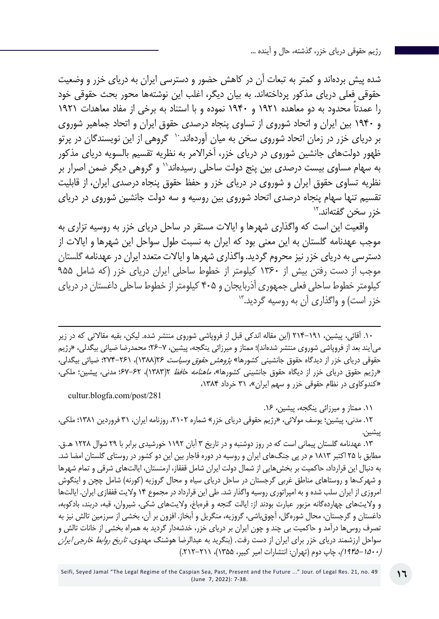شده پیش بردهاند و کمتر به تبعات آن در کاهش حضور و دسترسی ایران به دریای خزر و وضعیت حقوقی فعلی دریای مذکور پرداختهاند. به بیان دیگر، اغلب این نوشتهها محور بحث حقوقی خود ً را عمدتا محدود به دو معاهده 1921 و 1940 نموده و با استناد به برخی از مفاد معاهدات 1921 و 1940 بین ایران و اتحاد شوروی از تساوی پنجاه درصدی حقوق ایران و اتحاد جماهیر شوروی بر دریای خزر در زمان اتحاد شوروی سخن به میان آوردهاند. ٰ گروهی از این نویسندگان در پرتو ظهور دولتهای جانشین شوروی در دریای خزر، آخراالمر به نظریه تقسیم بالسویه دریای مذکور به سهام مساوی بیست درصدی بین پنج دولت ساحلی رسیدهاند11 و گروهی دیگر ضمن اصرار بر نظریه تساوی حقوق ایران و شوروی در دریای خزر و حفظ حقوق پنجاه درصدی ایران، از قابلیت تقسیم تنها سهام پنجاه درصدی اتحاد شوروی بین روسیه و سه دولت جانشین شوروی در دریای خزر سخن گفتهاند12.

واقعیت این است که واگذاری شهرها و ایاالت مستقر در ساحل دریای خزر به روسیه تزاری به موجب عهدنامه گلستان به این معنی بود که ایران به نسبت طول سواحل این شهرها و ایاالت از دسترسی به دریای خزر نیز محروم گردید. واگذاری شهرها و ایاالت متعدد ایران در عهدنامه گلستان موجب از دست رفتن بیش از ۱۳۶۰ کیلومتر از خطوط ساحلی ایران دریای خزر )که شامل 955 کیلومتر خطوط ساحلی فعلی جمهوری آذربایجان و 405 کیلومتر از خطوط ساحلی داغستان در دریای خزر اس*ت)* و واگذاری آن به روسیه گردید.<sup>۱۳</sup>

.10 آقائی، پیشین، 214-191 )این مقاله اندکی قبل از فروپاشی شوروی منتشر شده. لیکن، بقیه مقاالتی که در زیر میآیند بعد از فروپاشی شوروی منتشر شدهاند(؛ ممتاز و میرزائی ینگجه، پیشین، 26-7؛ محمدرضا ضیائی بیگدلی، »رژیم حقوقی دریای خزر از دیدگاه حقوق جانشینی کشورها» *پژوهش حقوق وسیاست* ۲۶(۱۳۸۸)، ۲۶۱-۲۷۴؛ ضیائی بیگدلی، «رژیم حقوق دریای خزر از دیگاه حقوق جانشینی کشورها»*، ماهنامه حافظ* ۲(۱۳۸۳)، ۶۲-۶۷: مدنی، پیشین؛ ملکی، »کندوکاوی در نظام حقوقی خزر و سهم ایران«، 31 خرداد ،1384

cultur.blogfa.com/post/281

.11 ممتاز و میرزائی ینگجه، پیشین، .16

.12 مدنی، پیشین؛ یوسف موالئی، »رژیم حقوقی دریای خزر« شماره ،2102 روزنامه ایران، 31 فروردین 1381؛ ملکی، پیشین.

.13 عهدنامه گلستان پیمانی اس[ت که در روز دوشنبه و در تاریخ ۳ آبان](https://fa.wikipedia.org/wiki/%D8%AC%D9%86%DA%AF%E2%80%8C%D9%87%D8%A7%DB%8C_%D8%A7%DB%8C%D8%B1%D8%A7%D9%86_%D9%88_%D8%B1%D9%88%D8%B3%DB%8C%D9%87_%D8%AF%D8%B1_%D8%AF%D9%88%D8%B1%D9%87_%D9%82%D8%A7%D8%AC%D8%A7%D8%B1) ۱۱۹۲ خورشیدی برابر با ۲۹ شوال ۱۲۲۸ [ه..ق](https://fa.wikipedia.org/wiki/%DA%AF%D8%A7%D9%87%E2%80%8C%D8%B4%D9%85%D8%A7%D8%B1%DB%8C_%D9%87%D8%AC%D8%B1%DB%8C_%D9%82%D9%85%D8%B1%DB%8C). مطابق با ۲۵ اکتبر ۱۸۱۳ م در پی [جنگه](https://fa.wikipedia.org/wiki/%D8%AC%D9%86%DA%AF%E2%80%8C%D9%87%D8%A7%DB%8C_%D8%A7%DB%8C%D8%B1%D8%A7%D9%86_%D9%88_%D8%B1%D9%88%D8%B3%DB%8C%D9%87_%D8%AF%D8%B1_%D8%AF%D9%88%D8%B1%D9%87_%D9%82%D8%A7%D8%AC%D8%A7%D8%B1)ای ایران و روسیه در دوره قاجار بین این دو کشور در روستای [گلستان](https://fa.wikipedia.org/wiki/%DA%AF%D9%84%D8%B3%D8%AA%D8%A7%D9%86%D8%8C_%DA%AF%D8%B1%D8%A7%D9%86%E2%80%8C%D8%A8%D9%88%DB%8C) امضا شد. به دنبال این قرارداد، حاکمیت بر بخشهایی از شمال [دولت](https://fa.wikipedia.org/wiki/%D8%AF%D9%88%D8%AF%D9%85%D8%A7%D9%86_%D9%BE%D9%87%D9%84%D9%88%DB%8C) ایران شامل [قفقاز](https://fa.wikipedia.org/wiki/%D9%82%D9%81%D9%82%D8%A7%D8%B2)، [ارمنستان،](https://fa.wikipedia.org/wiki/%D8%A7%D8%B1%D9%85%D9%86%D8%B3%D8%AA%D8%A7%D9%86) ایالتهای شرقی و تمام شهرها و شهرکها و روستاهای مناطق غربی [گرجستان](https://fa.wikipedia.org/wiki/%DA%AF%D8%B1%D8%AC%D8%B3%D8%AA%D8%A7%D9%86) در ساحل [دریای](https://fa.wikipedia.org/wiki/%D8%AF%D8%B1%DB%8C%D8%A7%DB%8C_%D8%B3%DB%8C%D8%A7%D9%87) سیاه و محال گروزیه )کورنه( شامل [چچن](https://fa.wikipedia.org/wiki/%DA%86%DA%86%D9%86) و [اینگوش](https://fa.wikipedia.org/wiki/%D8%A7%DB%8C%D9%86%DA%AF%D9%88%D8%B4%D8%AA%DB%8C%D8%A7) امروزی از ایران سلب شده و به [امپراتوری](https://fa.wikipedia.org/wiki/%D8%A7%D9%85%D9%BE%D8%B1%D8%A7%D8%AA%D9%88%D8%B1%DB%8C_%D8%B1%D9%88%D8%B3%DB%8C%D9%87) روسیه واگذار شد. طی این قرارداد در مجموع ۱۴ والیت قفقازی ایران. ایالتها و والیتهای چهاردهگانه مزبور عبارت بودند از: ایالت گنجه و قرهباغ، والیتهای شکی، شیروان، قبه، دربند، بادکوبه، داغستان و گرجستان، محال شورهگل، آچوقباشی، گروزیه، منگریل و آبخاز. افزون بر آن، بخشی از سرزمین تالش نیز به تصرف روسها درآمد و حاکمیت بی چند و چون ایران بر [دریای](https://fa.wikipedia.org/wiki/%D8%AF%D8%B1%DB%8C%D8%A7%DB%8C_%D8%AE%D8%B2%D8%B1) خزر، خدشهدار گردید به همراه بخشی از [خانات](https://fa.wikipedia.org/wiki/%D8%AE%D8%A7%D9%86%D8%A7%D8%AA_%D8%AA%D8%A7%D9%84%D8%B4) تالش و سواحل ارزشمند [دریای](https://fa.wikipedia.org/wiki/%D8%AF%D8%B1%DB%8C%D8%A7%DB%8C_%D8%AE%D8%B2%D8%B1) خزر برای ایران از دست رفت. (بنگرید به عبدالرضا هوشنگ مهدوی، *تاریخ روابط خارجی ایران* )1945-1500(، چاپ دوم )تهران: انتشارات امیر کبیر، 1355(، .212-211(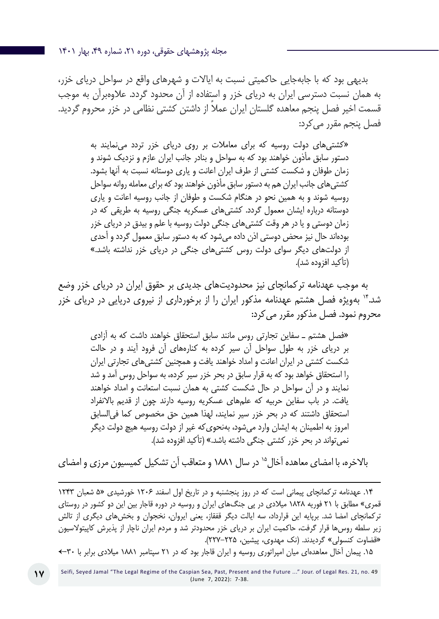بدیهی بود که با جابهجایی حاکمیتی نسبت به ایاالت و شهرهای واقع در سواحل دریای خزر، به همان نسبت دسترسی ایران به دریای خزر و استفاده از آن محدود گردد. عالوهبرآن به موجب ً قسمت اخیر فصل پنجم معاهده گلستان ایران عمال از داشتن کشتی نظامی در خزر محروم گردید. فصل پنجم مقرر می کرد:

»کشتیهای دولت روسیه که برای معامالت بر روی دریای خزر تردد مینمایند به دستور سابق مأذون خواهند بود که به سواحل و بنادر جانب ایران عازم و نزدیک شوند و زمان طوفان و شکست کشتی از طرف ایران اعانت و یاری دوستانه نسبت به آنها بشود. کشتیهای جانب ایران هم به دستور سابق مأذون خواهند بود که برای معامله روانه سواحل روسیه شوند و به همین نحو در هنگام شکست و طوفان از جانب روسیه اعانت و یاری دوستانه درباره ایشان معمول گردد. کشتیهای عسکریه جنگی روسیه به طریقی که در زمان دوستی و یا در هر وقت کشتیهای جنگی دولت روسیه با علم و بیدق در دریای خزر بودهاند حال نیز محض دوستی اذن داده میشود که به دستور سابق معمول گردد و أحدی از دولتهای دیگر سوای دولت روس کشتیهای جنگی در دریای خزر نداشته باشد.« )تأکید افزوده شد(.

به موجب عهدنامه ترکمانچای نیز محدودیتهای جدیدی بر حقوق ایران در دریای خزر وضع شد14. بهویژه فصل هشتم عهدنامه مذکور ایران را از برخورداری از نیروی دریایی در دریای خزر محروم نمود. فصل مذکور مقرر می کرد:

»فصل هشتم ـ سفاین تجارتی روس مانند سابق استحقاق خواهند داشت که به آزادی بر دریای خزر به طول سواحل آن سیر کرده به کنارههای آن فرود آیند و در حالت شکست کشتی در ایران اعانت و امداد خواهند یافت و همچنین کشتیهای تجارتی ایران را استحقاق خواهد بود که به قرار سابق در بحر خزر سیر کرده، به سواحل روس آمد و شد نمایند و در آن سواحل در حال شکست کشتی به همان نسبت استعانت و امداد خواهند یافت. در باب سفاین حربیه که علمهای عسکریه روسیه دارند چون از قدیم باالنفراد استحقاق داشتند که در بحر خزر سیر نمایند، لهذا همین حق مخصوص کما فیالسابق امروز به اطمینان به ایشان وارد میشود، بهنحویکه غیر از دولت روسیه هیچ دولت دیگر نمی تواند در بحر خزر کشتی جنگی داشته باشد.» (تأکید افزوده شد).

بالاخره، با امضای معاهده آخال<sup>۱۵</sup> در سال ۱۸۸۱ و متعاقب آن تشکیل کمیسیون مرزی و امضای

.14 عهدنامه ترکمانچای پیمانی است که در ر[وز پنجشنبه و در تاریخ اول اسفند ۱۲۰۶](https://fa.wikipedia.org/wiki/%D8%AC%D9%86%DA%AF%E2%80%8C%D9%87%D8%A7%DB%8C_%D8%A7%DB%8C%D8%B1%D8%A7%D9%86_%D9%88_%D8%B1%D9%88%D8%B3%DB%8C%D9%87_%D8%AF%D8%B1_%D8%AF%D9%88%D8%B1%D9%87_%D9%82%D8%A7%D8%AC%D8%A7%D8%B1) خورشیدی »۵ شعبان ۱۲۴۳ قمری« مطابق با ۲۱ فوریه ۱۸۲۸ میالدی در پی [جنگ](https://fa.wikipedia.org/wiki/%D8%AC%D9%86%DA%AF%E2%80%8C%D9%87%D8%A7%DB%8C_%D8%A7%DB%8C%D8%B1%D8%A7%D9%86_%D9%88_%D8%B1%D9%88%D8%B3%DB%8C%D9%87_%D8%AF%D8%B1_%D8%AF%D9%88%D8%B1%D9%87_%D9%82%D8%A7%D8%AC%D8%A7%D8%B1)های ایران و روسیه در دوره قاجار بین این دو کشور در روستای [ترکمانچای](https://fa.wikipedia.org/wiki/%D8%AA%D8%B1%DA%A9%D9%85%D8%A7%D9%86%DA%86%D8%A7%DB%8C) امضا شد. برپایه این قرارداد، سه ایالت دیگر [قفقاز،](https://fa.wikipedia.org/wiki/%D9%82%D9%81%D9%82%D8%A7%D8%B2) یعنی ایروان، نخجوان و بخشهای دیگری از تالش زیر سلطه روسها قرار گرفت، حاکمیت ایران بر دریای خزر محدودتر شد و مردم ایران ناچار از پذیرش [کاپیتوالسیون](https://fa.wikipedia.org/wiki/%DA%A9%D8%A7%D9%BE%DB%8C%D8%AA%D9%88%D9%84%D8%A7%D8%B3%DB%8C%D9%88%D9%86) »قضاوت کنسولی« گردیدند. )نک مهدوی، پیشین، 227-225(.

.15 پیمان آخال معاهدهای میان [امپراتوری روسیه](https://fa.wikipedia.org/wiki/%D8%A7%D9%85%D9%BE%D8%B1%D8%A7%D8%AA%D9%88%D8%B1%DB%8C_%D8%B1%D9%88%D8%B3%DB%8C%D9%87) و [ایران قاجار](https://fa.wikipedia.org/wiki/%D8%A7%DB%8C%D8%B1%D8%A7%D9%86_%D9%82%D8%A7%D8%AC%D8%A7%D8%B1%DB%8C) بود که در ۲۱ سپتامبر ۱۸۸۱ میالدی برابر با 30←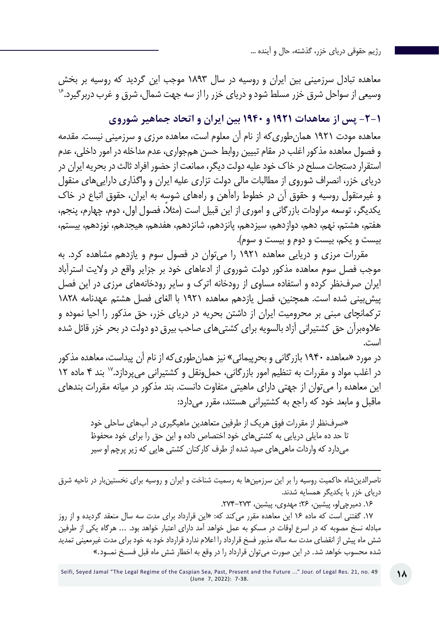معاهده تبادل سرزمینی بین ایران و روسیه در سال 1893 موجب این گردید که روسیه بر بخش وسیعی از سواحل شرق خزر مسلط شود و دریای خزر را از سه جهت شمال، شرق و غرب دربرگیرد.<sup>۱۶</sup>

### **-2-1 پس از معاهدات 1921 و 1940 بین ایران و اتحاد جماهیر شوروی**

معاهده مودت 1921 همانطوریکه از نام آن معلوم است، معاهده مرزی و سرزمینی نیست. مقدمه و فصول معاهده مذکور اغلب در مقام تبیین روابط حسن همجواری، عدم مداخله در امور داخلی، عدم استقرار دستجات مسلح در خاک خود علیه دولت دیگر، ممانعت از حضور افراد ثالث در بحریه ایران در دریای خزر، انصراف شوروی از مطالبات مالی دولت تزاری علیه ایران و واگذاری داراییهای منقول و غیرمنقول روسیه و حقوق آن در خطوط راهآهن و راههای شوسه به ایران، حقوق اتباع در خاک یکدیگر، توسعه مراودات بازرگانی و اموری از این قبیل است (مثلا، فصول اول، دوم، چهارم، پنجم، هفتم، هشتم، نهم، دهم، دوازدهم، سیزدهم، پانزدهم، شانزدهم، هفدهم، هیجدهم، نوزدهم، بیستم، بیست و یکم، بیست و دوم و بیست و سوم(.

مقررات مرزی و دریایی معاهده 1921 را میتوان در فصول سوم و یازدهم مشاهده کرد. به موجب فصل سوم معاهده مذکور دولت شوروی از ادعاهای خود بر جزایر واقع در والیت استرآباد ایران صرفنظر کرده و استفاده مساوی از رودخانه اترک و سایر رودخانههای مرزی در این فصل پیشبینی شده است. همچنین، فصل یازدهم معاهده 1921 با الغای فصل هشتم عهدنامه 1828 ترکمانچای مبنی بر محرومیت ایران از داشتن بحریه در دریای خزر، حق مذکور را احیا نموده و عالوهبرآن حق کشتیرانی آزاد بالسویه برای کشتیهای صاحب بیرق دو دولت در بحر خزر قائل شده است.

در مورد »معاهده 1940 بازرگانی و بحرپیمائی« نیز همانطوریکه از نام آن پیداست، معاهده مذکور در اغلب مواد و مقررات به تنظیم امور بازرگانی، حمل ونقل و کشتیرانی می پردازد.<sup>۱۷</sup> بند ۴ ماده ۱۲ این معاهده را میتوان از جهتی دارای ماهیتی متفاوت دانست. بند مذکور در میانه مقررات بندهای ماقبل و مابعد خود که راجع به کشتیرانی هستند، مقرر میدارد:

»صرفنظر از مقررات فوق هریک از طرفین متعاهدین ماهیگیری در آبهای ساحلی خود تا حد ده مایلی دریایی به کشتیهای خود اختصاص داده و این حق را برای خود محفوظ میدارد که واردات ماهیهای صید شده از طرف کارکنان کشتی هایی که زیر پرچم او سیر

ناصرالدینشاه حاکمیت روسیه را بر این سرزمینها به رسمیت شناخت و ایران و روسیه برای نخستینبار در ناحیه شرق دریای خزر با یکدیگر همسایه شدند.

.16 دمیرچیلو، پیشین، 26؛ مهدوی، پیشین، .274-273

.17 گفتنی است که ماده 16 این معاهده مقرر میکند که: »این قرارداد برای مدت سه سال منعقد گردیده و از روز مبادله نسخ مصوبه که در اسرع اوقات در مسکو به عمل خواهد آمد دارای اعتبار خواهد بود. ... هرگاه یکی از طرفین شش ماه پیش از انقضای مدت سه ساله مذبور فسخ قرارداد را اعالم ندارد قرارداد خود به خود برای مدت غیرمعینی تمدید شده محسوب خواهد شد. در این صورت میتوان قرارداد را در وقع به اخطار شش ماه قبل فســخ نمــود.«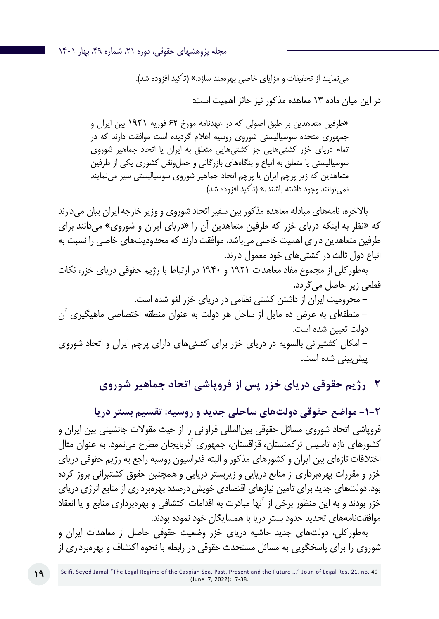می نمایند از تخفیفات و مزایای خاصی بهرهمند سازد.» (تأکید افزوده شد).

در این میان ماده 13 معاهده مذکور نیز حائز اهمیت است:

»طرفین متعاهدین بر طبق اصولی که در عهدنامه مورخ 62 فوریه 1921 بین ایران و جمهوری متحده سوسیالیستی شوروی روسیه اعالم گردیده است موافقت دارند که در تمام دریای خزر کشتیهایی جز کشتیهایی متعلق به ایران یا اتحاد جماهیر شوروی سوسیالیستی یا متعلق به اتباع و بنگاههای بازرگانی و حمل ونقل کشوری یکی از طرفین متعاهدین که زیر پرچم ایران یا پرچم اتحاد جماهیر شوروی سوسیالیستی سیر مینمایند نمی توانند وجود داشته باشند.» (تأکید افزوده شد)

باالخره، نامههای مبادله معاهده مذکور بین سفیر اتحاد شوروی و وزیر خارجه ایران بیان میدارند که »نظر به اینکه دریای خزر که طرفین متعاهدین آن را »دریای ایران و شوروی« میدانند برای طرفین متعاهدین دارای اهمیت خاصی میباشد، موافقت دارند که محدودیتهای خاصی را نسبت به اتباع دول ثالث در کشتیهای خود معمول دارند.

بهطورکلی از مجموع مفاد معاهدات 1921 و 1940 در ارتباط با رژیم حقوقی دریای خزر، نکات قطعی زیر حاصل میگردد. - محرومیت ایران از داشتن کشتی نظامی در دریای خزر لغو شده است. - منطقهای به عرض ده مایل از ساحل هر دولت به عنوان منطقه اختصاصی ماهیگیری آن دولت تعیین شده است. - امکان کشتیرانی بالسویه در دریای خزر برای کشتیهای دارای پرچم ایران و اتحاد شوروی پیش بینی شده است.

**-2 رژیم حقوقی دریای خزر پس از فروپاشی اتحاد جماهیر شوروی**

**-1-2 مواضع حقوقی دولتهای ساحلی جدید و روسیه: تقسیم بستر دریا** فروپاشی اتحاد شوروی مسائل حقوقی بینالمللی فراوانی را از حیث مقوالت جانشینی بین ایران و کشورهای تازه تأسیس ترکمنستان، قزاقستان، جمهوری آذربایجان مطرح مینمود. به عنوان مثال اختالفات تازهای بین ایران و کشورهای مذکور و البته فدراسیون روسیه راجع به رژیم حقوقی دریای خزر و مقررات بهرهبرداری از منابع دریایی و زیربستر دریایی و همچنین حقوق کشتیرانی بروز کرده بود. دولتهای جدید برای تأمین نیازهای اقتصادی خویش درصدد بهرهبرداری از منابع انرژی دریای خزر بودند و به این منظور برخی از آنها مبادرت به اقدامات اکتشافی و بهرهبرداری منابع و یا انعقاد موافقتنامههای تحدید حدود بستر دریا با همسایگان خود نموده بودند.

بهطورکلی، دولتهای جدید حاشیه دریای خزر وضعیت حقوقی حاصل از معاهدات ایران و شوروی را برای پاسخگویی به مسائل مستحدث حقوقی در رابطه با نحوه اکتشاف و بهرهبرداری از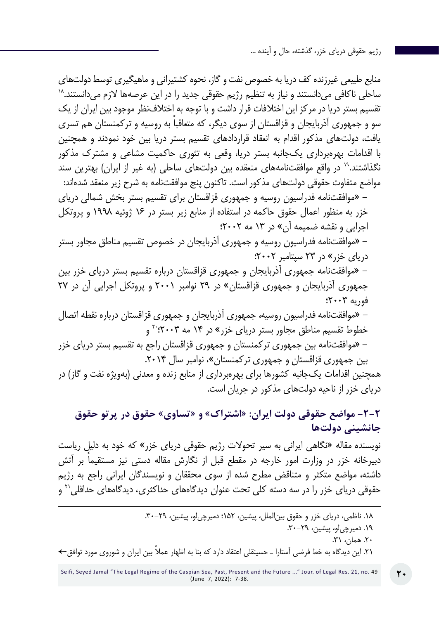منابع طبیعی غیرزنده کف دریا به خصوص نفت و گاز، نحوه کشتیرانی و ماهیگیری توسط دولتهای<br>ساحلی ناکافی میدانستند و نیاز به تنظیم رژیم حقوقی جدید را در این عرصهها لازم میدانستند.<sup>۱۸</sup> تقسیم بستر دریا در مرکز این اختالفات قرار داشت و با توجه به اختالفنظر موجود بین ایران از یک ً سو و جمهوری آذربایجان و قزاقستان از سوی دیگر، که متعاقبا به روسیه و ترکمنستان هم تسری یافت، دولتهای مذکور اقدام به انعقاد قراردادهای تقسیم بستر دریا بین خود نمودند و همچنین با اقدامات بهرهبرداری یکجانبه بستر دریا، وقعی به تئوری حاکمیت مشاعی و مشترک مذکور نگذاشتند. ۱٬ در واقع موافقتنامههای منعقده بین دولتهای ساحلی (به غیر از ایران) بهترین سند مواضع متفاوت حقوقی دولتهای مذکور است. تاکنون پنج موافقتنامه به شرح زیر منعقد شدهاند: - »موافقتنامه فدراسيون روسيه و جمهوري قزاقستان براي تقسيم بستر بخش شمالي درياي خزر به منظور اعمال حقوق حاكمه در استفاده از منابع زير بستر در 16 ژوئيه 1998 و پروتكل اجرايي و نقشه ضميمه آن« در 13 مه 2002؛ - »موافقتنامه فدراسيون روسيه و جمهوري آذربايجان در خصوص تقسيم مناطق مجاور بستر درياي خزر« در 23 سپتامبر 2002؛ - »موافقتنامه جمهوري آذربايجان و جمهوري قزاقستان درباره تقسيم بستر درياي خزر بين جمهوري آذربايجان و جمهوری قزاقستان« در 29 نوامبر 2001 و پروتكل اجرايي آن در 27 فوريه 2003؛ - »موافقتنامه فدراسيون روسيه، جمهوري آذربايجان و جمهوري قزاقستان درباره نقطه اتصال خطوط تقسيم مناطق مجاور بستر درياي خزر» در ۱۴ مه ۲۰۰۳؛<sup>۲۰</sup> و - »موافقتنامه بین جمهوری ترکمنستان و جمهوری قزاقستان راجع به تقسیم بستر دریای خزر بین جمهوری قزاقستان و جمهوری ترکمنستان»، نوامبر سال ٢٠١۴. همچنين اقدامات یکجانبه كشورها براي بهرهبرداري از منابع زنده و معدني (بهویژه نفت و گاز) در درياي خزر از ناحیه دولتهای مذکور در جریان است.

# **-2-2 مواضع حقوقی دولت ایران: »اشتراک« و »تساوی« حقوق در پرتو حقوق جانشینی دولتها**

نویسنده مقاله »نگاهی ایرانی به سیر تحوالت رژیم حقوقی دریای خزر« که خود به دلیل ریاست ً دبیرخانه خزر در وزارت امور خارجه در مقطع قبل از نگارش مقاله دستی نیز مستقیما بر آتش داشته، مواضع متکثر و متناقض مطرح شده از سوی محققان و نویسندگان ایرانی راجع به رژیم حقوقی دریای خزر را در سه دسته کلی تحت عنوان دیدگاههای حداکثری، دیدگاههای حداقلی'۲ و

.19 دمیرچیلو، پیشین، .30-29

.20 همان، .31

21 ً . این دیدگاه به خط فرضی آستارا ـ حسینقلی اعتقاد دارد که بنا به اظهار عمال بین ایران و شوروی مورد توافق←

<sup>.18</sup> ناظمی، دریای خزر و حقوق بینالملل، پیشین، 152؛ دمیرچیلو، پیشین، .30-29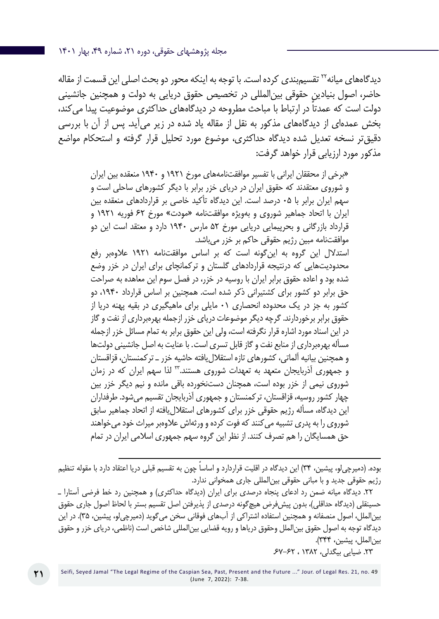دیدگاههای میانه<sup>۲۲</sup> تقسیمبندی کرده است. با توجه به اینکه محور دو بحث اصلی این قسمت از مقاله حاضر، اصول بنیادین حقوقی بینالمللی در تخصیص حقوق دریایی به دولت و همچنین جانشینی ً دولت است که عمدتا در ارتباط با مباحث مطروحه در دیدگاههای حداکثری موضوعیت پیدا میکند، بخش عمدهای از دیدگاههای مذکور به نقل از مقاله یاد شده در زیر میآید. پس از آن با بررسی دقیقتر نسخه تعدیل شده دیدگاه حداکثری، موضوع مورد تحلیل قرار گرفته و استحکام مواضع مذکور مورد ارزیابی قرار خواهد گرفت:

»برخي از محققان ايراني با تفسير موافقتنامههای مورخ ۱۹۲۱ و ۱۹۴۰ منعقده بين ايران و شوروی معتقدند كه حقوق ايران در درياي خزر برابر با ديگر كشورهاي ساحلي است و سهم ايران برابر با 05 درصد است. اين ديدگاه تأکید خاصي بر قراردادهاي منعقده بين ايران با اتحاد جماهیر شوروی و بهویژه موافقتنامه »مودت« مورخ 62 فوريه ۱۹۲۱ و قرارداد بازرگاني و بحرپيمايي دريايي مورخ 52 مارس ۱۹۴۰ دارد و معتقد است اين دو موافقتنامه مبين رژيم حقوقي حاكم بر خزر میباشد.

استدالل اين گروه به اینگونه است كه بر اساس موافقتنامه ۱۹۲۱ عالوهبر رفع محدودیتهایی كه درنتیجه قراردادهاي گلستان و ترکمانچای براي ايران در خزر وضع شده بود و اعاده حقوق برابر ايران با روسيه در خزر، در فصل سوم اين معاهده به صراحت حق برابر دو كشور براي كشتيراني ذكر شده است. همچنين بر اساس قرارداد ،۱۹۴۰ دو كشور به جز در يك محدوده انحصاري 01 مايلي براي ماهيگيري در بقيه پهنه دريا از حقوق برابر برخوردارند. گرچه ديگر موضوعات درياي خزر ازجمله بهرهبرداری از نفت و گاز در اين اسناد مورد اشاره قرار نگرفته است، ولي اين حقوق برابر به تمام مسائل خزر ازجمله مسأله بهرهبرداری از منابع نفت و گاز قابل تسري است. با عنايت به اصل جانشيني دولتها و همچنين بيانيه آلماتي، كشورهاي تازه استقاللیافته حاشيه خزر ـ تركمنستان، قزاقستان و جمهوري آذربايجان متعهد به تعهدات شوروی هستند23. لذا سهم ايران كه در زمان شوروي نيمي از خزر بوده است، همچنان دستنخورده باقي مانده و نيم ديگر خزر بين چهار كشور روسيه، قزاقستان، تركمنستان و جمهوري آذربايجان تقسيم میشود. طرفداران اين ديدگاه، مسأله رژيم حقوقي خزر براي كشورهاي استقاللیافته از اتحاد جماهير سابق شوروي را به پدري تشبيه میکنند كه فوت كرده و ورثهاش عالوهبر ميراث خود میخواهند حق همسايگان را هم تصرف كنند. از نظر اين گروه سهم جمهوري اسالمي ايران در تمام

بوده. (دمیرچیلو، پیشین، ۳۴) این دیدگاه در اقلیت قراردارد و اساسا چون به تقسیم قبلی دریا اعتقاد دارد با مقوله تنظیم رژیم حقوقی جدید و با مبانی حقوقی بینالمللی جاری همخوانی ندارد.

.22 دیدگاه میانه ضمن رد ادعای پنجاه درصدی برای ایران )دیدگاه حداکثری( و همچنین رد خط فرضی آستارا ـ حسینقلی (دیدگاه حداقلی)، بدون پیشفرض هیچگونه درصدی از پذیرفتن اصل تقسیم بستر با لحاظ اصول جاری حقوق بینالملل، اصول منصفانه و همچنین استفاده اشتراکی از آبهای فوقانی سخن میگوید )دمیرچیلو، پیشین، 35(. در این دیدگاه توجه به اصول حقوق بینالملل وحقوق دریاها و رویه قضایی بینالمللی شاخص است )ناظمی، دریای خزر و حقوق بینالملل، پیشین، 344(. .23 ضيايي بيگدلي، 1382 ، .67-62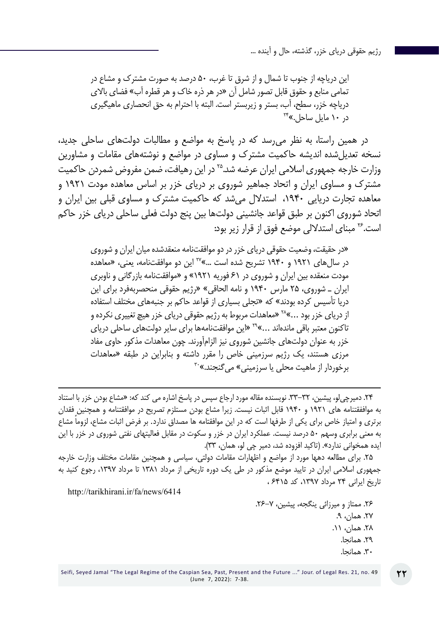اين درياچه از جنوب تا شمال و از شرق تا غرب، ۵۰ درصد به صورت مشترك و مشاع در تمامي منابع و حقوق قابل تصور شامل آن »در هر ذره خاك و هر قطره آب« فضاي باالي درياچه خزر، سطح، آب، بستر و زيربستر است. البته با احترام به حق انحصاري ماهيگيري<br>در ۱۰ مايل ساحل به<sup>۲۴</sup>

در همین راستا، به نظر میرسد که در پاسخ به مواضع و مطالبات دولتهای ساحلی جدید، نسخه تعدیل شده اندیشه حاکمیت مشترک و مساوی در مواضع و نوشتههای مقامات و مشاورین وزارت خارجه جمهوری اسالمی ایران عرضه شد25. در این رهیافت، ضمن مفروض شمردن حاکمیت مشترک و مساوی ایران و اتحاد جماهیر شوروی بر دریای خزر بر اساس معاهده مودت ۱۹۲۱ و معاهده تجارت دریایی ،1940 استدالل میشد که حاکمیت مشترک و مساوی قبلی بین ایران و اتحاد شوروی اکنون بر طبق قواعد جانشینی دولتها بین پنج دولت فعلی ساحلی دریای خزر حاکم است26. مبنای استداللی موضع فوق از قرار زیر بود:

»در حقیقت، وضعیت حقوقی دریای خزر در دو موافقتنامه منعقدشده میان ایران و شوروی در سالهای ۱۹۲۱ و ۱۹۴۰ تشریح شده است ...«27 این دو موافقتنامه، یعنی، »معاهده مودت منعقده بین ایران و شوروی در 61 فوریه ۱۹۲۱« و »موافقتنامه بازرگانی و ناوبری ایران ـ شوروی، ۲۵ مارس ۱۹۴۰ و نامه الحاقی« »رژیم حقوقی منحصربهفرد برای این دریا تأسیس کرده بودند« که »تجلی بسیاری از قواعد حاکم بر جنبههای مختلف استفاده از دریای خزر بود ...«28 »معاهدات مربوط به رژیم حقوقی دریای خزر هیچ تغییری نکرده و تاکنون معتبر باقی ماندهاند ...»<sup>۲۹</sup> «این موافقتنامهها برای سایر دولتهای ساحلی دریای خزر به عنوان دولتهای جانشین شوروی نیز الزامآورند. چون معاهدات مذکور حاوی مفاد مرزی هستند، یک رژیم سرزمینی خاص را مقرر داشته و بنابراین در طبقه «معاهدات<br>برخوردار از ماهیت محلی یا سرزمینی» میگنجند.»<sup>۳۰</sup>

.24 دمیرچیلو، پیشین، .33-32 نویسنده مقاله مورد ارجاع سپس در پاسخ اشاره می کند که: »مشاع بودن خزر با استناد به مواففقتنامه هاي 1921 و 1940 قابل اثبات نيست. زيرا مشاع بودن مستلزم تصريح در موافقتنامه و همچنين فقدان برتري و امتياز خاص براي يكي از طرفها است كه در اين موافقتامه ها مصداق ندارد. ً بر فرض اثبات مشاع، لزوما مشاع به معني برابري وسهم 50 درصد نيست. عملكرد ايران در خزر و سكوت در مقابل فعاليتهاي نفتي شوروي در خزر با این ايده همخواني ندارد». (تاکيد افزوده شد، دمير چي لو، همان، ٣٣).

.25 برای مطالعه دهها مورد از مواضع و اظهارات مقامات دولتی، سیاسی و همچنین مقامات مختلف وزارت خارجه جمهوری اسالمی ایران در تایید موضع مذکور در طی یک دوره تاریخی از مرداد 1381 تا مرداد ،1397 رجوع کنید به تاریخ ایرانی 24 مرداد ،1397 کد 6415 ،

http://tarikhirani.ir/fa/news/6414

.26 ممتاز و میرزائی ینگجه، پیشین، .26-7 ۲۷. همان، ۹. .28 همان، .11 .29 همانجا. .30 همانجا.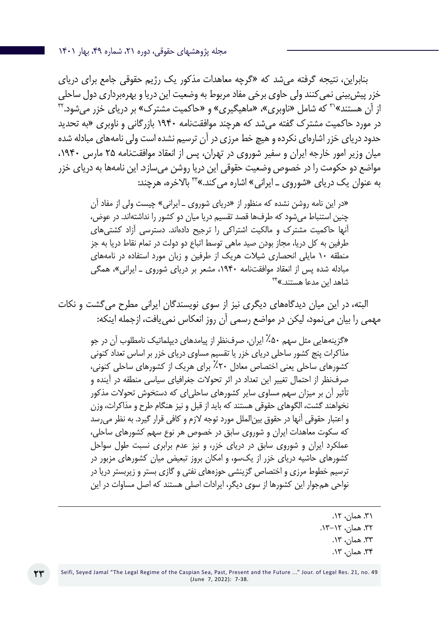بنابراین، نتیجه گرفته میشد که »گرچه معاهدات مذکور یک رژیم حقوقی جامع برای دریای خزر پیش بینی نمی کنند ولی حاوی برخی مفاد مربوط به وضعیت این دریا و بهرهبرداری دول ساحلی از آن هستند»۲<sup>۳</sup> که شامل «ناوبری»، «ماهیگیری» و «حاکمیت مشترک» بر دریای خزر می شود.<sup>۳۲</sup> در مورد حاکمیت مشترک گفته میشد که هرچند موافقتنامه 1940 بازرگانی و ناوبری »به تحدید حدود دریای خزر اشارهای نکرده و هیچ خط مرزی در آن ترسیم نشده است ولی نامههای مبادله شده میان وزیر امور خارجه ایران و سفیر شوروی در تهران، پس از انعقاد موافقتنامه 25 مارس ،1940 مواضع دو حکومت را در خصوص وضعیت حقوقی این دریا روشن میسازد. این نامهها به دریای خزر به عنوان یک دریای «شوروی \_ ایرانی» اشاره می کند.»<sup>۳۳</sup> بالاخره، هرچند:

»در این نامه روشن نشده که منظور از »دریای شوروی ـ ایرانی« چیست ولی از مفاد آن چنین استنباط میشود که طرفها قصد تقسیم دریا میان دو کشور را نداشتهاند. در عوض، آنها حاکمیت مشترک و مالکیت اشتراکی را ترجیح دادهاند. دسترسی آزاد کشتیهای طرفین به کل دریا، مجاز بودن صید ماهی توسط اتباع دو دولت در تمام نقاط دریا به جز منطقه ۱۰ مایلی انحصاری شیالت هریک از طرفین و زبان مورد استفاده در نامههای مبادله شده پس از انعقاد موافقتنامه ۱۹۴۰، مشعر بر دریای شوروی ـ ایرانی»، همگی<br>شاهد این مدعا هستند.»<sup>۳۴</sup>

البته، در این میان دیدگاههای دیگری نیز از سوی نویسندگان ایرانی مطرح میگشت و نکات مهمی را بیان مینمود، لیکن در مواضع رسمی آن روز انعکاس نمییافت، ازجمله اینکه:

»گزینههایی مثل سهم %۵۰ ایران، صرفنظر از پیامدهای دیپلماتیک نامطلوب آن در جو مذاکرات پنج کشور ساحلی دریای خزر یا تقسیم مساوی دریای خزر بر اساس تعداد کنونی کشورهای ساحلی یعنی اختصاص معادل %۲۰ برای هریک از کشورهای ساحلی کنونی، صرفنظر از احتمال تغییر این تعداد در اثر تحوالت جغرافیای سیاسی منطقه در آینده و تأثیر آن بر میزان سهم مساوی سایر کشورهای ساحلیای که دستخوش تحوالت مذکور نخواهند گشت، الگوهای حقوقی هستند که باید از قبل و نیز هنگام طرح و مذاکرات، وزن و اعتبار حقوقی آنها در حقوق بینالملل مورد توجه الزم و کافی قرار گیرد. به نظر میرسد که سکوت معاهدات ایران و شوروی سابق در خصوص هر نوع سهم کشورهای ساحلی، عملکرد ایران و شوروی سابق در دریای خزر، و نیز عدم برابری نسبت طول سواحل کشورهای حاشیه دریای خزر از یکسو، و امکان بروز تبعیض میان کشورهای مزبور در ترسیم خطوط مرزی و اختصاص گزینشی حوزههای نفتی و گازی بستر و زیربستر دریا در نواحی همجوار این کشورها از سوی دیگر، ایرادات اصلی هستند که اصل مساوات در این

> ۳۱. همان، ۱۲. .32 همان، .13-12 .33 همان، .13 .34 همان، .13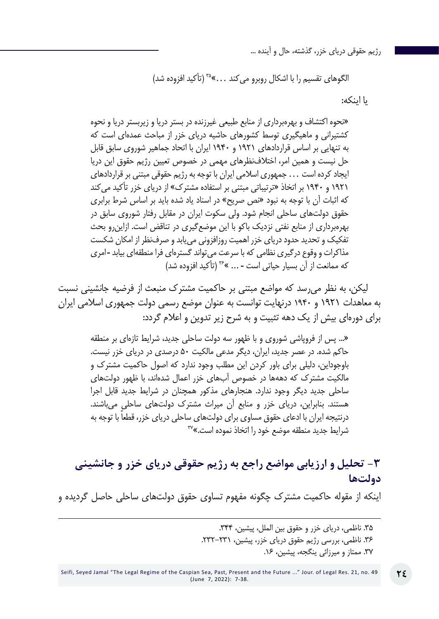الگوهای تقسیم را با اشکال روبرو می کند ...»<sup>۲۵</sup> (تأکید افزوده شد)

یا اینکه:

»نحوه اکتشاف و بهرهبرداری از منابع طبیعی غیرزنده در بستر دریا و زیربستر دریا و نحوه کشتیرانی و ماهیگیری توسط کشورهای حاشیه دریای خزر از مباحث عمدهای است که به تنهایی بر اساس قراردادهای ۱۹۲۱ و ۱۹۴۰ ایران با اتحاد جماهیر شوروی سابق قابل حل نیست و همین امر، اختالفنظرهای مهمی در خصوص تعیین رژیم حقوق این دریا ایجاد کرده است ... جمهوری اسالمی ایران با توجه به رژیم حقوقی مبتنی بر قراردادهای ۱۹۲۱ و ۱۹۴۰ بر اتخاذ »ترتیباتی مبتنی بر استفاده مشترک« از دریای خزر تأکید میکند که اثبات آن با توجه به نبود »نص صریح« در اسناد یاد شده باید بر اساس شرط برابری حقوق دولتهای ساحلی انجام شود. ولی سکوت ایران در مقابل رفتار شوروی سابق در بهرهبرداری از منابع نفتی نزدیک باکو با این موضعگیری در تناقض است. ازاینرو بحث تفکیک و تحدید حدود دریای خزر اهمیت روزافزونی مییابد و صرفنظر از امکان شکست مذاکرات و وقوع درگیری نظامی که با سرعت میتواند گسترهای فرا منطقهای بیابد ـ امری که ممانعت از آن بسیار حیاتی است ـ ... «36 )تأکید افزوده شد(

لیکن، به نظر میرسد که مواضع مبتنی بر حاکمیت مشترک منبعث از فرضیه جانشینی نسبت به معاهدات 1921 و ۱۹۴۰ درنهایت توانست به عنوان موضع رسمی دولت جمهوری اسالمی ایران برای دورهای بیش از یک دهه تثبیت و به شرح زیر تدوین و اعالم گردد:

»... پس از فروپاشی شوروی و با ظهور سه دولت ساحلی جدید، شرایط تازهای بر منطقه حاکم شده. در عصر جدید، ایران، دیگر مدعی مالکیت ۵۰ درصدی در دریای خزر نیست. باوجوداین، دلیلی برای باور کردن این مطلب وجود ندارد که اصول حاکمیت مشترک و مالکیت مشترک که دههها در خصوص آبهای خزر اعمال شدهاند، با ظهور دولتهای ساحلی جدید دیگر وجود ندارد. هنجارهای مذکور همچنان در شرایط جدید قابل اجرا هستند. بنابراین، دریای خزر و منابع آن میراث مشترک دولتهای ساحلی میباشند. درنتیجه ایران با ادعای حقوق مساوی برای دولتهای ساحلی دریای خزر، قطعاً با توجه به<br>شرایط جدید منطقه موضع خود را اتخاذ نموده است.»<sup>۳۷</sup>

**-3 تحلیل و ارزیابی مواضع راجع به رژیم حقوقی دریای خزر و جانشینی دولتها**

اینکه از مقوله حاکمیت مشترک چگونه مفهوم تساوی حقوق دولتهای ساحلی حاصل گردیده و

.35 ناظمی، دریای خزر و حقوق بین الملل، پیشین، .344 .36 ناظمی، بررسی رژیم حقوق دریای خزر، پیشین، .232-231 .37 ممتاز و میرزائی ینگجه، پیشین، .16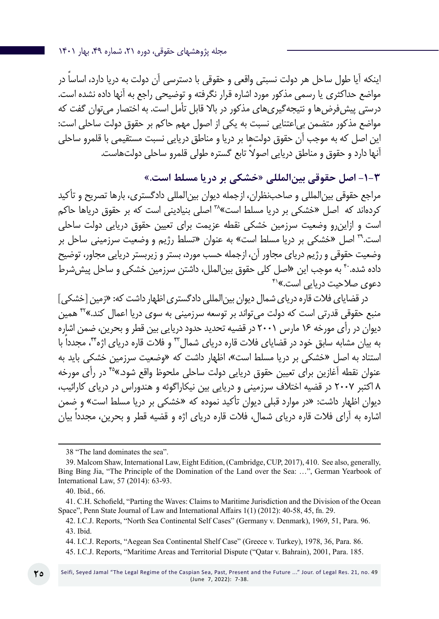مجله پژوهشهای حقوقی، دوره ،21 شماره ،49 بهار 1401

ً اینکه آیا طول ساحل هر دولت نسبتی واقعی و حقوقی با دسترسی آن دولت به دریا دارد، اساسا در مواضع حداکثری یا رسمی مذکور مورد اشاره قرار نگرفته و توضیحی راجع به آنها داده نشده است. درستی پیشفرضها و نتیجهگیریهای مذکور در باال قابل تأمل است. به اختصار میتوان گفت که مواضع مذکور متضمن بیاعتنایی نسبت به یکی از اصول مهم حاکم بر حقوق دولت ساحلی است: این اصل که به موجب آن حقوق دولتها بر دریا و مناطق دریایی نسبت مستقیمی با قلمرو ساحلی ً آنها دارد و حقوق و مناطق دریایی اصوال تابع گستره طولی قلمرو ساحلی دولتهاست.

# **-1-3 اصل حقوقی بینالمللی »خشکی بر دریا مسلط است.«**

مراجع حقوقی بینالمللی و صاحبنظران، ازجمله دیوان بینالمللی دادگستری، بارها تصریح و تأکید کردهاند که اصل »خشکی بر دریا مسلط است«38 اصلی بنیادینی است که بر حقوق دریاها حاکم است و ازاینرو وضعیت سرزمین خشکی نقطه عزیمت برای تعیین حقوق دریایی دولت ساحلی است39. اصل »خشکی بر دریا مسلط است« به عنوان »تسلط رژیم و وضعیت سرزمینی ساحل بر وضعیت حقوقی و رژیم دریای مجاور آن، ازجمله حسب مورد، بستر و زیربستر دریایی مجاور، توضیح داده شده. ۴<sup>۰</sup> به موجب این «اصل کلی حقوق بین|لملل، داشتن سرزمین خشکی و ساحل پیش *ش*رط دعوی صلاحیت دریایی است.»<sup>۴۱</sup>

در قضایای فلات قاره دریای شمال دیوان بین المللی دادگستری اظهار داشت که: «زمین [خشکی ] منبع حقوقی قدرتی است که دولت میتواند بر توسعه سرزمینی به سوی دریا اعمال کند.«42 همین دیوان در رأی مورخه 16 مارس 2001 در قضیه تحدید حدود دریایی بین قطر و بحرین، ضمن اشاره به بیان مشابه سابق خود در قضایای فالت قاره دریای شمال43 و فالت قاره دریای اژه،44 مجدداً با استناد به اصل »خشکی بر دریا مسلط است«، اظهار داشت که »وضعیت سرزمین خشکی باید به عنوان نقطه آغازین برای تعیین حقوق دریایی دولت ساحلی ملحوظ واقع شود.«45 در رأی مورخه 8 اکتبر 2007 در قضیه اختالف سرزمینی و دریایی بین نیکاراگوئه و هندوراس در دریای کارائیب، دیوان اظهار داشت: »در موارد قبلی دیوان تأکید نموده که »خشکی بر دریا مسلط است« و ضمن اشاره به آرای فالت قاره دریای شمال، فالت قاره دریای اژه و قضیه قطر و بحرین، مجدداً بیان

<sup>38 &</sup>quot;The land dominates the sea".

<sup>39</sup>. Malcom Shaw, International Law, Eight Edition, (Cambridge, CUP, 2017), 410. See also, generally, Bing Bing Jia, "The Principle of the Domination of the Land over the Sea: …", German Yearbook of International Law, 57 (2014): 63-93.

<sup>40.</sup> Ibid., 66.

<sup>41</sup>. C.H. Schofield, "Parting the Waves: Claims to Maritime Jurisdiction and the Division of the Ocean Space", Penn State Journal of Law and International Affairs 1(1) (2012): 40-58, 45, fn. 29.

<sup>42.</sup> I.C.J. Reports, "North Sea Continental Self Cases" (Germany v. Denmark), 1969, 51, Para. 96. 43. Ibid.

<sup>44</sup>. I.C.J. Reports, "Aegean Sea Continental Shelf Case" (Greece v. Turkey), 1978, 36, Para. 86.

<sup>45</sup>. I.C.J. Reports, "Maritime Areas and Territorial Dispute ("Qatar v. Bahrain), 2001, Para. 185.

Seifi, Seyed Jamal "The Legal Regime of the Caspian Sea, Past, Present and the Future ..." Jour. of Legal Res. 21, no. 49 (June 7, 2022): 7-38.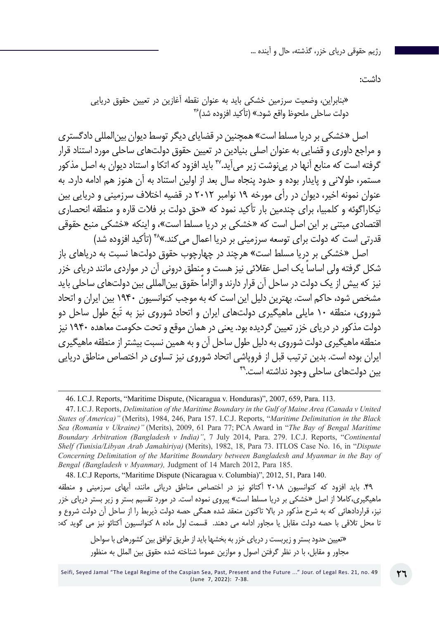داشت:

دولت ساحلی ملحوظ واقع شود.« )تأکید افزوده شد(46 »بنابراین، وضعیت سرزمین خشکی باید به عنوان نقطه آغازین در تعیین حقوق دریایی

اصل »خشکی بر دریا مسلط است« همچنین در قضایای دیگر توسط دیوان بینالمللی دادگستری و مراجع داوری و قضایی به عنوان اصلی بنیادین در تعیین حقوق دولتهای ساحلی مورد استناد قرار گرفته است که منابع آنها در پی نوشت زیر می آید.۴<sup>۷</sup> باید افزود که اتکا و استناد دیوان به اصل مذکور مستمر، طوالنی و پایدار بوده و حدود پنجاه سال بعد از اولین استناد به آن هنوز هم ادامه دارد. به عنوان نمونه اخیر، دیوان در رأی مورخه 19 نوامبر 2012 در قضیه اختالف سرزمینی و دریایی بین نیکاراگوئه و کلمبیا، برای چندمین بار تأکید نمود که »حق دولت بر فالت قاره و منطقه انحصاری اقتصادی مبتنی بر این اصل است که »خشکی بر دریا مسلط است«، و اینکه »خشکی منبع حقوقی قدرتی است که دولت برای توسعه سرزمینی بر دریا اعمال می کند.»\*۴ (تأکید افزوده شد)

اصل »خشکی بر دریا مسلط است« هرچند در چهارچوب حقوق دولتها نسبت به دریاهای باز ً شکل گرفته ولی اساسا یک اصل عقالئی نیز هست و منطق درونی آن در مواردی مانند دریای خزر ً نیز که بیش از یک دولت در ساحل آن قرار دارند و الزاما حقوق بینالمللی بین دولتهای ساحلی باید مشخص شود، حاکم است. بهترین دلیل این است که به موجب کنوانسیون 1940 بین ایران و اتحاد شوروی، منطقه ۱۰ مایلی ماهیگیری دولتهای ایران و اتحاد شوروی نیز به تَبعَ طول ساحل دو دولت مذکور در دریای خزر تعیین گردیده بود. یعنی در همان موقع و تحت حکومت معاهده 1940 نیز منطقه ماهیگیری دولت شوروی به دلیل طول ساحل آن و به همین نسبت بیشتر از منطقه ماهیگیری ایران بوده است. بدین ترتیب قبل از فروپاشی اتحاد شوروی نیز تساوی در اختصاص مناطق دریایی بین دولتهای ساحلی وجود نداشته است.<sup>۴۹</sup>

48. I.C.J Reports, "Maritime Dispute (Nicaragua v. Columbia)", 2012, 51, Para 140.

.49 باید افزود که کنوانسیون 2018 آکتائو نیز در اختصاص مناطق دریائی مانند، آبهای سرزمینی و منطقه ماهیگیری،کامال از اصل »خشکی بر دریا مسلط است« پیروی نموده است. در مورد تقسیم بستر و زیر بستر دریای خزر نیز، قراردادهائی که به شرح مذکور در باال تاکنون منعقد شده همگی حصه دولت ذیربط را از ساحل آن دولت شروع و تا محل تالقی با حصه دولت مقابل یا مجاور ادامه می دهند. قسمت اول ماده 8 کنوانسیون آکتائو نیز می گوید که:

»تعیین حدود بستر و زیربست ر دریای خزر به بخشها باید از طریق توافق بین کشورهای با سواحل مجاور و مقابل، با در نظر گرفتن اصول و موازین عموما شناخته شده حقوق بین الملل به منظور

<sup>46</sup>. I.C.J. Reports, "Maritime Dispute, (Nicaragua v. Honduras)", 2007, 659, Para. 113.

<sup>47</sup>. I.C.J. Reports, *Delimitation of the Maritime Boundary in the Gulf of Maine Area (Canada v United States of America)"* (Merits), 1984, 246, Para 157. I.C.J. Reports, "*Maritime Delimitation in the Black Sea (Romania v Ukraine)"* (Merits), 2009, 61 Para 77; PCA Award in "*The Bay of Bengal Maritime Boundary Arbitration (Bangladesh v India)"*, 7 July 2014, Para. 279. I.C.J. Reports, "*Continental Shelf (Tunisia/Libyan Arab Jamahiriya)* (Merits), 1982, 18, Para 73. ITLOS Case No. 16, in "*Dispute Concerning Delimitation of the Maritime Boundary between Bangladesh and Myanmar in the Bay of Bengal (Bangladesh v Myanmar),* Judgment of 14 March 2012, Para 185.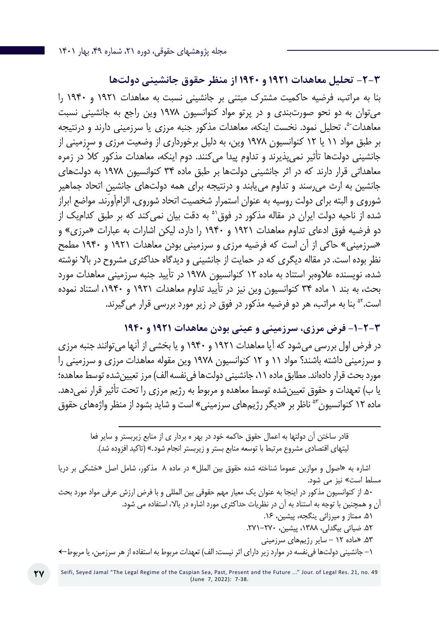**-2-3 تحلیل معاهدات 1921 و 1940 از منظر حقوق جانشینی دولتها** بنا به مراتب، فرضیه حاکمیت مشترک مبتنی بر جانشینی نسبت به معاهدات 1921 و 1940 را میتوان به دو نحو صورتبندی و در پرتو مواد کنوانسیون 1978 وین راجع به جانشینی نسبت معاهدات،50 تحلیل نمود. نخست اینکه، معاهدات مذکور جنبه مرزی یا سرزمینی دارند و درنتیجه بر طبق مواد 11 یا 12 کنوانسیون 1978 وین، به دلیل برخورداری از وضعیت مرزی و سرزمینی از جانشینی دولتها تأثیر نمیپذیرند و تداوم پیدا می ً کنند. دوم اینکه، معاهدات مذکور کال در زمره معاهداتی قرار دارند که در اثر جانشینی دولتها بر طبق ماده 34 کنوانسیون 1978 به دولتهای جانشین به ارث می رسند و تداوم می یابند و درنتیجه برای همه دولتهای جانشین اتحاد جماهیر شوروی و البته برای دولت روسیه به عنوان استمرار شخصیت اتحاد شوروی، الزامآورند. مواضع ابراز شده از ناحیه دولت ایران در مقاله مذکور در فوق<sup>۵</sup> به دقت بیان نمی *ک*ند که بر طبق کدامیک از دو فرضیه فوق ادعای تداوم معاهدات 1921 و 1940 را دارد، لیکن اشارات به عبارات »مرزی« و »سرزمینی« حاکی از آن است که فرضیه مرزی و سرزمینی بودن معاهدات 1921 و 1940 مطمح نظر بوده است. در مقاله دیگری که در حمایت از جانشینی و دیدگاه حداکثری مشروح در باال نوشته شده، نویسنده عالوهبر استناد به ماده 12 کنوانسیون 1978 در تأیید جنبه سرزمینی معاهدات مورد بحث، به بند 1 ماده 34 کنوانسیون وین نیز در تأیید تداوم معاهدات 1921 و ،1940 استناد نموده است.<sup>۵۲</sup> بنا به مراتب، هر دو فرضیه مذکور در فوق در زیر مورد بررسی قرار می *گ*یرند.

**-1-2-3 فرض مرزی، سرزمینی و عینی بودن معاهدات 1921 و 1940** در فرض اول بررسی میشود که آیا معاهدات 1921 و 1940 و یا بخشی از آنها میتوانند جنبه مرزی و سرزمینی داشته باشند؟ مواد 11 و 12 کنوانسیون 1978 وین مقوله معاهدات مرزی و سرزمینی را مورد بحث قرار دادهاند. مطابق ماده ۱۱، جانشینی دولتها فی نفسه الف) مرز تعیین شده توسط معاهده؛ یا ب) تعهدات و حقوق تعیین شده توسط معاهده و مربوط به رژیم مرزی را تحت تأثیر قرار نمی دهد. ماده ۱۲ کنوانسیون<sup>05</sup> ناظر بر «دیگر رژیمهای سرزمینی» است و شاید بشود از منظر واژههای حقوق

قادر ساختن آن دولتها به اعمال حقوق حاکمه خود در بهر ه بردار ی از منابع زیربستر و سایر فعا لیتهای اقتصادی مشروع مرتبط با توسعه منابع بستر و زیربستر انجام شود.» (تاکید افزوده شد).

اشاره به »اصول و موازین عموما شناخته شده حقوق بین الملل« در ماده 8 مذکور، شامل اصل »خشکی بر دریا مسلط است« نیز می شود.

.50 از کنوانسیون مذکور در اینجا به عنوان یک معیار مهم حقوقی بین المللی و با فرض ارزش عرفی مواد مورد بحث آن و همچنین با توجه به استناد به آن در نظریات حداکثری مورد اشاره در باال، استفاده می شود.

.51 ممتاز و میرزائی ینگجه، پیشین، .16 .52 ضیائی بیگدلی، ،1388 پیشین، .271-270 .53 »ماده 12 - سایر رژیمهای سرزمینی -1 جانشینی دولتها فینفسه در موارد زیر دارای اثر نیست: الف( تعهدات مربوط به استفاده از هر سرزمین، یا مربوط←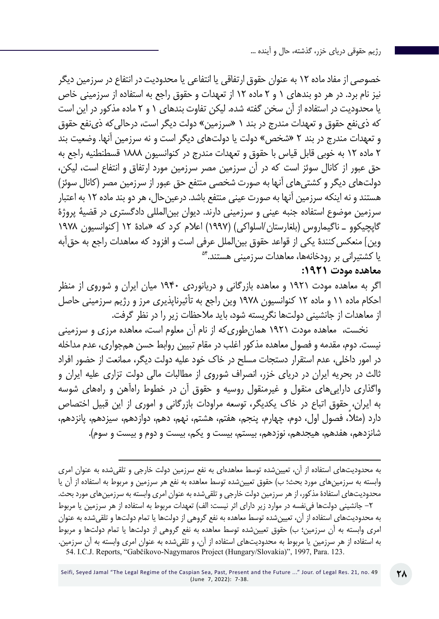خصوصی از مفاد ماده 12 به عنوان حقوق ارتفاقی یا انتفاعی یا محدودیت در انتفاع در سرزمین دیگر نیز نام برد. در هر دو بندهای 1 و 2 ماده 12 از تعهدات و حقوق راجع به استفاده از سرزمینی خاص یا محدودیت در استفاده از آن سخن گفته شده. لیکن تفاوت بندهای 1 و 2 ماده مذکور در این است که ذینفع حقوق و تعهدات مندرج در بند 1 »سرزمین« دولت دیگر است، درحالیکه ذینفع حقوق و تعهدات مندرج در بند 2 »شخص« دولت یا دولتهای دیگر است و نه سرزمین آنها. وضعیت بند 2 ماده 12 به خوبی قابل قیاس با حقوق و تعهدات مندرج در کنوانسیون 1888 قسطنطنیه راجع به حق عبور از کانال سوئز است که در آن سرزمین مصر سرزمین مورد ارتفاق و انتفاع است، لیکن، دولتهای دیگر و کشتیهای آنها به صورت شخصی منتفع حق عبور از سرزمین مصر )کانال سوئز( هستند و نه اینکه سرزمین آنها به صورت عینی منتفع باشد. درعینحال، هر دو بند ماده 12 به اعتبار سرزمین موضوع استفاده جنبه عینی و سرزمینی دارند. دیوان بینالمللی دادگستری در قضیۀ پروژۀ گاپچیکوو ـ ناگیماروس )بلغارستان/اسلواکی( )1997( اعالم کرد که »مادۀ 12 ]کنوانسیون 1978 وین] منعکس کنندۀ یکی از قواعد حقوق بین|لملل عرفی است و افزود که معاهدات راجع به حق]به یا کشتیرانی بر رودخانهها، معاهدات سرزمینی هستند54.

### **معاهده مودت :1921**

اگر به معاهده مودت 1921 و معاهده بازرگانی و دریانوردی 1940 میان ایران و شوروی از منظر احکام ماده 11 و ماده 12 کنوانسیون 1978 وین راجع به تأثیرناپذیری مرز و رژیم سرزمینی حاصل از معاهدات از جانشینی دولتها نگریسته شود، باید مالحظات زیر را در نظر گرفت.

نخست، معاهده مودت 1921 همانطوریکه از نام آن معلوم است، معاهده مرزی و سرزمینی نیست. دوم، مقدمه و فصول معاهده مذکور اغلب در مقام تبیین روابط حسن همجواری، عدم مداخله در امور داخلی، عدم استقرار دستجات مسلح در خاک خود علیه دولت دیگر، ممانعت از حضور افراد ثالث در بحریه ایران در دریای خزر، انصراف شوروی از مطالبات مالی دولت تزاری علیه ایران و واگذاری داراییهای منقول و غیرمنقول روسیه و حقوق آن در خطوط راهآهن و راههای شوسه به ایران، حقوق اتباع در خاک یکدیگر، توسعه مراودات بازرگانی و اموری از این قبیل اختصاص ً دارد )مثال، فصول اول، دوم، چهارم، پنجم، هفتم، هشتم، نهم، دهم، دوازدهم، سیزدهم، پانزدهم، شانزدهم، هفدهم، هیجدهم، نوزدهم، بیستم، بیست و یکم، بیست و دوم و بیست و سوم(.

به محدودیتهای استفاده از آن، تعیینشده توسط معاهدهای به نفع سرزمین دولت خارجی و تلقیشده به عنوان امری وابسته به سرزمینهای مورد بحث؛ ب) حقوق تعیینشده توسط معاهده به نفع هر سرزمین و مربوط به استفاده از آن یا محدودیتهای استفادۀ مذکور، از هر سرزمین دولت خارجی و تلقیشده به عنوان امری وابسته به سرزمینهای مورد بحث. -2 جانشینی دولتها فینفسه در موارد زیر دارای اثر نیست: الف( تعهدات مربوط به استفاده از هر سرزمین یا مربوط به محدودیتهای استفاده از آن، تعیینشده توسط معاهده به نفع گروهی از دولتها یا تمام دولتها و تلقیشده به عنوان امری وابسته به آن سرزمین؛ ب) حقوق تعیینشده توسط معاهده به نفع گروهی از دولتها یا تمام دولتها و مربوط به استفاده از هر سرزمین یا مربوط به محدودیتهای استفاده از آن، و تلقیشده به عنوان امری وابسته به آن سرزمین. 54. I.C.J. Reports, "Gabčíkovo-Nagymaros Project (Hungary/Slovakia)", 1997, Para. 123.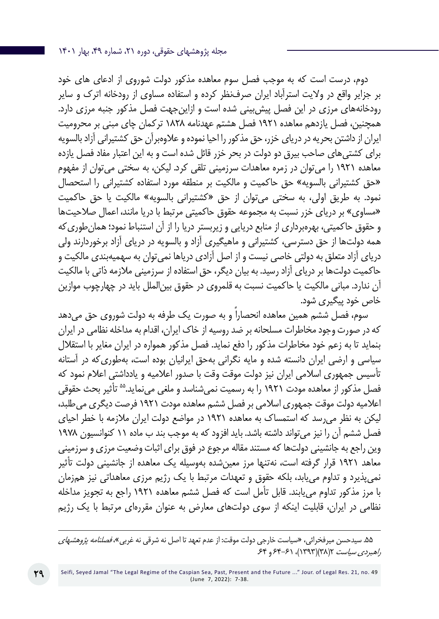دوم، درست است که به موجب فصل سوم معاهده مذکور دولت شوروی از ادعای های خود بر جزایر واقع در والیت استرآباد ایران صرفنظر کرده و استفاده مساوی از رودخانه اترک و سایر رودخانههای مرزی در این فصل پیشبینی شده است و ازاینجهت فصل مذکور جنبه مرزی دارد. همچنین، فصل یازدهم معاهده 1921 فصل هشتم عهدنامه 1828 ترکمان چای مبنی بر محرومیت ایران از داشتن بحریه در دریای خزر، حق مذکور را احیا نموده و عالوهبرآن حق کشتیرانی آزاد بالسویه برای کشتیهای صاحب بیرق دو دولت در بحر خزر قائل شده است و به این اعتبار مفاد فصل یازده معاهده 1921 را میتوان در زمره معاهدات سرزمینی تلقی کرد. لیکن، به سختی میتوان از مفهوم »حق کشتیرانی بالسویه« حق حاکمیت و مالکیت بر منطقه مورد استفاده کشتیرانی را استحصال نمود. به طریق اولی، به سختی می توان از حق «کشتیرانی بالسویه» مالکیت یا حق حاکمیت «مساوی» بر دریای خزر نسبت به مجموعه حقوق حاکمیتی مرتبط با دریا مانند، اعمال صلاحیتها و حقوق حاکمیتی، بهرهبرداری از منابع دریایی و زیربستر دریا را از آن استنباط نمود؛ همانطوریکه همه دولتها از حق دسترسی، کشتیرانی و ماهیگیری آزاد و بالسویه در دریای آزاد برخوردارند ولی دریای آزاد متعلق به دولتی خاصی نیست و از اصل آزادی دریاها نمیتوان به سهمیهبندی مالکیت و حاکمیت دولتها بر دریای آزاد رسید. به بیان دیگر، حق استفاده از سرزمینی مالزمه ذاتی با مالکیت آن ندارد. مبانی مالکیت یا حاکمیت نسبت به قلمروی در حقوق بینالملل باید در چهارچوب موازین خاص خود پیگیری شود.

سوم، فصل ششم همین معاهده انحصاراً و به صورت یک طرفه به دولت شوروی حق میدهد که در صورت وجود مخاطرات مسلحانه بر ضد روسیه از خاک ایران، اقدام به مداخله نظامی در ایران بنماید تا به زعم خود مخاطرات مذکور را دفع نماید. فصل مذکور همواره در ایران مغایر با استقالل سیاسی و ارضی ایران دانسته شده و مایه نگرانی بهحق ایرانیان بوده است، بهطوریکه در آستانه تأسیس جمهوری اسالمی ایران نیز دولت موقت وقت با صدور اعالمیه و یادداشتی اعالم نمود که فصل مذکور از معاهده مودت 1921 را به رسمیت نمیشناسد و ملغی مینماید55. تأثیر بحث حقوقی اعالمیه دولت موقت جمهوری اسالمی بر فصل ششم معاهده مودت 1921 فرصت دیگری میطلبد، لیکن به نظر میرسد که استمساک به معاهده 1921 در مواضع دولت ایران مالزمه با خطر احیای فصل ششم آن را نیز میتواند داشته باشد. باید افزود که به موجب بند ب ماده 11 کنوانسیون 1978 وین راجع به جانشینی دولتها که مستند مقاله مرجوع در فوق برای اثبات وضعیت مرزی و سرزمینی معاهد 1921 قرار گرفته است، نهتنها مرز معینشده بهوسیله یک معاهده از جانشینی دولت تأثیر نمیپذیرد و تداوم مییابد، بلکه حقوق و تعهدات مرتبط با یک رژیم مرزی معاهداتی نیز همزمان با مرز مذکور تداوم مییابند. قابل تأمل است که فصل ششم معاهده 1921 راجع به تجویز مداخله نظامی در ایران، قابلیت اینکه از سوی دولتهای معارض به عنوان مقررهای مرتبط با یک رژیم

۵۵. سیدحسن میرفخرائی، «سیاست خارجی دولت موقت: از عدم تعهد تا اصل نه شرقی نه غربی»، *فصلنامه پژوهشهای* راهبردي سياست 7(٣٨)(١٣٩٣)، ۶۴-۶۴ و ۶۴.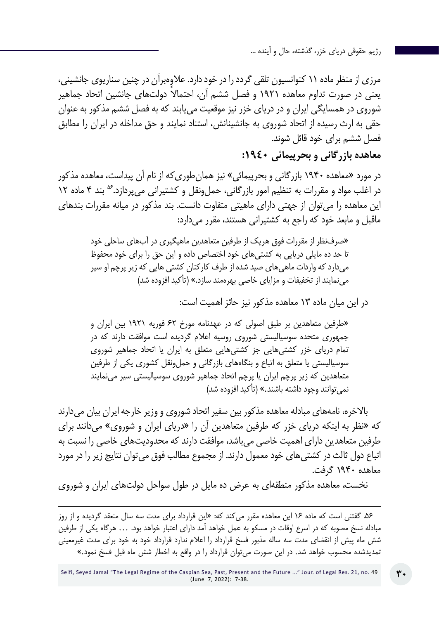مرزی از منظر ماده 11 کنوانسیون تلقی گردد را در خود دارد. عالوهبرآن در چنین سناریوی جانشینی، یعنی در صورت تداوم معاهده ۱۹۲۱ و فصل ششم آن، احتمالاً دولتهای جانشین اتحاد جماهیر شوروی در همسایگی ایران و در دریای خزر نیز موقعیت مییابند که به فصل ششم مذکور به عنوان حقی به ارث رسیده از اتحاد شوروی به جانشینانش، استناد نمایند و حق مداخله در ایران را مطابق فصل ششم برای خود قائل شوند.

# **معاهده بازرگانی و بحرپیمائی :1940**

در مورد »معاهده 1940 بازرگانی و بحرپیمائی« نیز همانطوریکه از نام آن پیداست، معاهده مذکور در اغلب مواد و مقررات به تنظیم امور بازرگانی، حمل ونقل و کشتیرانی می پردازد.<sup>۵۶</sup> بند ۴ ماده ۱۲ این معاهده را میتوان از جهتی دارای ماهیتی متفاوت دانست. بند مذکور در میانه مقررات بندهای ماقبل و مابعد خود که راجع به کشتیرانی هستند، مقرر میدارد:

»صرفنظر از مقررات فوق هریک از طرفین متعاهدین ماهیگیری در آبهای ساحلی خود تا حد ده مایلی دریایی به کشتیهای خود اختصاص داده و این حق را برای خود محفوظ میدارد که واردات ماهیهای صید شده از طرف کارکنان کشتی هایی که زیر پرچم او سیر مینمایند از تخفیفات و مزایای خاصی بهرهمند سازد.« )تأکید افزوده شد(

در این میان ماده 13 معاهده مذکور نیز حائز اهمیت است:

»طرفین متعاهدین بر طبق اصولی که در عهدنامه مورخ 62 فوریه ۱۹۲۱ بین ایران و جمهوری متحده سوسیالیستی شوروی روسیه اعالم گردیده است موافقت دارند که در تمام دریای خزر کشتیهایی جز کشتیهایی متعلق به ایران یا اتحاد جماهیر شوروی سوسیالیستی یا متعلق به اتباع و بنگاههای بازرگانی و حمل,ونقل کشوری یکی از طرفین متعاهدین که زیر پرچم ایران یا پرچم اتحاد جماهیر شوروی سوسیالیستی سیر مینمایند نمی توانند وجود داشته باشند.» (تأکید افزوده شد)

باالخره، نامههای مبادله معاهده مذکور بین سفیر اتحاد شوروی و وزیر خارجه ایران بیان میدارند که »نظر به اینکه دریای خزر که طرفین متعاهدین آن را »دریای ایران و شوروی« میدانند برای طرفین متعاهدین دارای اهمیت خاصی میباشد، موافقت دارند که محدودیتهای خاصی را نسبت به اتباع دول ثالث در کشتیهای خود معمول دارند. از مجموع مطالب فوق میتوان نتایج زیر را در مورد معاهده 1940 گرفت.

نخست، معاهده مذکور منطقهای به عرض ده مایل در طول سواحل دولتهای ایران و شوروی

.56 گفتنی است که ماده 16 این معاهده مقرر میکند که: »این قرارداد برای مدت سه سال منعقد گردیده و از روز مبادله نسخ مصوبه که در اسرع اوقات در مسکو به عمل خواهد آمد دارای اعتبار خواهد بود. ... هرگاه یکی از طرفین شش ماه پیش از انقضای مدت سه ساله مذبور فسخ قرارداد را اعالم ندارد قرارداد خود به خود برای مدت غیرمعینی تمدیدشده محسوب خواهد شد. در این صورت میتوان قرارداد را در واقع به اخطار شش ماه قبل فسخ نمود.«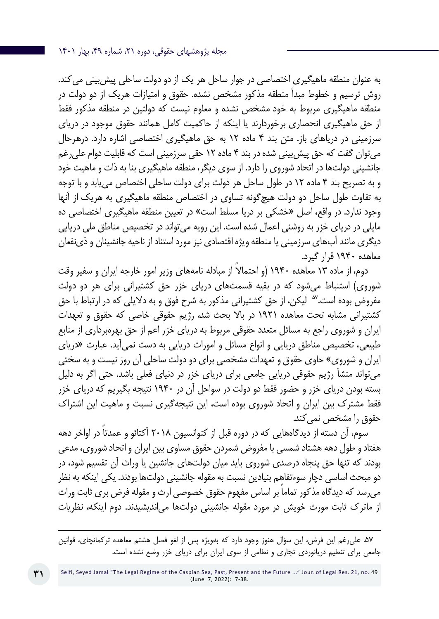مجله پژوهشهای حقوقی، دوره ۲۱، شماره ۴۹، بهار ۱۴۰۱

به عنوان منطقه ماهیگیری اختصاصی در جوار ساحل هر یک از دو دولت ساحلی پیشبینی میکند. روش ترسیم و خطوط مبدأ منطقه مذکور مشخص نشده. حقوق و امتیازات هریک از دو دولت در منطقه ماهیگیری مربوط به خود مشخص نشده و معلوم نیست که دولتین در منطقه مذکور فقط از حق ماهیگیری انحصاری برخوردارند یا اینکه از حاکمیت کامل همانند حقوق موجود در دریای سرزمینی در دریاهای باز. متن بند 4 ماده 12 به حق ماهیگیری اختصاصی اشاره دارد. درهرحال میتوان گفت که حق پیشبینی شده در بند 4 ماده 12 حقی سرزمینی است که قابلیت دوام علیرغم جانشینی دولتها در اتحاد شوروی را دارد. از سوی دیگر، منطقه ماهیگیری بنا به ذات و ماهیت خود و به تصریح بند 4 ماده 12 در طول ساحل هر دولت برای دولت ساحلی اختصاص مییابد و با توجه به تفاوت طول ساحل دو دولت هیچگونه تساوی در اختصاص منطقه ماهیگیری به هریک از آنها وجود ندارد. در واقع، اصل »خشکی بر دریا مسلط است« در تعیین منطقه ماهیگیری اختصاصی ده مایلی در دریای خزر به روشنی اعمال شده است. این رویه میتواند در تخصیص مناطق ملی دریایی دیگری مانند آبهای سرزمینی یا منطقه ویژه اقتصادی نیز مورد استناد از ناحیه جانشینان و ذینفعان معاهده 1940 قرار گیرد.

دوم، از ماده ۱۳ معاهده ۱۹۴۰ (و احتمالاً از مبادله نامههای وزیر امور خارجه ایران و سفیر وقت شوروی) استنباط می شود که در بقیه قسمتهای دریای خزر حق کشتیرانی برای هر دو دولت مفروض بوده است.<sup>۵۷</sup> لیکن، از حق کشتیرانی مذکور به شرح فوق و به دلایلی که در ارتباط با حق کشتیرانی مشابه تحت معاهده 1921 در باال بحث شد، رژیم حقوقی خاصی که حقوق و تعهدات ایران و شوروی راجع به مسائل متعدد حقوقی مربوط به دریای خزر اعم از حق بهرهبرداری از منابع طبیعی، تخصیص مناطق دریایی و انواع مسائل و امورات دریایی به دست نمیآید. عبارت »دریای ایران و شوروی« حاوی حقوق و تعهدات مشخصی برای دو دولت ساحلی آن روز نیست و به سختی میتواند منشأ رژیم حقوقی دریایی جامعی برای دریای خزر در دنیای فعلی باشد. حتی اگر به دلیل بسته بودن دریای خزر و حضور فقط دو دولت در سواحل آن در 1940 نتیجه بگیریم که دریای خزر فقط مشترک بین ایران و اتحاد شوروی بوده است، این نتیجهگیری نسبت و ماهیت این اشتراک حقوق را مشخص نمی کند.

سوم، آن دسته از دیدگاههایی که در دوره قبل از کنوانسیون 2018 ً آکتائو و عمدتا در اواخر دهه هفتاد و طول دهه هشتاد شمسی با مفروض شمردن حقوق مساوی بین ایران و اتحاد شوروی، مدعی بودند که تنها حق پنجاه درصدی شوروی باید میان دولتهای جانشین یا وراث آن تقسیم شود، در دو مبحث اساسی دچار سوءتفاهم بنیادین نسبت به مقوله جانشینی دولتها بودند. یکی اینکه به نظر می ً رسد که دیدگاه مذکور تماما بر اساس مفهوم حقوق خصوصی ارث و مقوله فرض بری ثابت وراث از ماترک ثابت مورث خویش در مورد مقوله جانشینی دولتها میاندیشیدند. دوم اینکه، نظریات

.57 علیرغم این فرض، این سؤال هنوز وجود دارد که بهویژه پس از لغو فصل هشتم معاهده ترکمانچای، قوانین جامعی برای تنطیم دریانوردی تجاری و نطامی از سوی ایران برای دریای خزر وضع نشده است.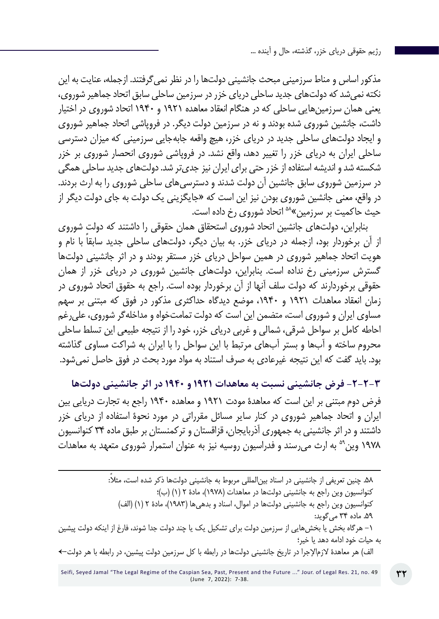مذکور اساس و مناط سرزمینی مبحث جانشینی دولتها را در نظر نمیگرفتند. ازجمله، عنایت به این نکته نمیشد که دولتهای جدید ساحلی دریای خزر در سرزمین ساحلی سابق اتحاد جماهیر شوروی، یعنی همان سرزمینهایی ساحلی که در هنگام انعقاد معاهده 1921 و 1940 اتحاد شوروی در اختیار داشت، جانشین شوروی شده بودند و نه در سرزمین دولت دیگر. در فروپاشی اتحاد جماهیر شوروی و ایجاد دولتهای ساحلی جدید در دریای خزر، هیچ واقعه جابهجایی سرزمینی که میزان دسترسی ساحلی ایران به دریای خزر را تغییر دهد، واقع نشد. در فروپاشی شوروی انحصار شوروی بر خزر شکسته شد و اندیشه استفاده از خزر حتی برای ایران نیز جدیتر شد. دولتهای جدید ساحلی همگی در سرزمین شوروی سابق جانشین آن دولت شدند و دسترسیهای ساحلی شوروی را به ارث بردند. در واقع، معنی جانشین شوروی بودن نیز این است که »جایگزینی یک دولت به جای دولت دیگر از حیث حاکمیت بر سرزمین«58 اتحاد شوروی رخ داده است.

بنابراین، دولتهای جانشین اتحاد شوروی استحقاق همان حقوقی را داشتند که دولت شوروی از آن برخوردار بود، ازجمله در دریای خزر. به بیان دیگر، دولت ً های ساحلی جدید سابقا با نام و هویت اتحاد جماهیر شوروی در همین سواحل دریای خزر مستقر بودند و در اثر جانشینی دولتها گسترش سرزمینی رخ نداده است. بنابراین، دولتهای جانشین شوروی در دریای خزر از همان حقوقی برخوردارند که دولت سلف آنها از آن برخوردار بوده است. راجع به حقوق اتحاد شوروی در زمان انعقاد معاهدات 1921 و ،1940 موضع دیدگاه حداکثری مذکور در فوق که مبتنی بر سهم مساوی ایران و شوروی است، متضمن این است که دولت تمامتخواه و مداخلهگر شوروی، علیرغم احاطه کامل بر سواحل شرقی، شمالی و غربی دریای خزر، خود را از نتیجه طبیعی این تسلط ساحلی محروم ساخته و آبها و بستر آبهای مرتبط با این سواحل را با ایران به شراکت مساوی گذاشته بود. باید گفت که این نتیجه غیرعادی به صرف استناد به مواد مورد بحث در فوق حاصل نمیشود.

**-2-2-3 فرض جانشینی نسبت به معاهدات 1921 و 1940 در اثر جانشینی دولتها** فرض دوم مبتنی بر این است که معاهدۀ مودت 1921 و معاهده 1940 راجع به تجارت دریایی بین ایران و اتحاد جماهیر شوروی در کنار سایر مسائل مقرراتی در مورد نحوۀ استفاده از دریای خزر داشتند و در اثر جانشینی به جمهوری آذربایجان، قزاقستان و ترکمنستان بر طبق ماده 34 کنوانسیون 1978 وین59 به ارث میرسند و فدراسیون روسیه نیز به عنوان استمرار شوروی متعهد به معاهدات

.58 چنین تعریفی از جانشینی در اسناد بینالمللی مربوط به جانشینی دولت ً ها ذکر شده است، مثال: کنوانسیون وین راجع به جانشینی دولتها در معاهدات )1978(، مادۀ 2 )1( )ب(؛ کنوانسیون وین راجع به جانشینی دولتها در اموال، اسناد و بدهیها )1983(، مادۀ 2 )1( )الف( .59 ماده 34 میگوید: -1 هرگاه بخش یا بخشهایی از سرزمین دولت برای تشکیل یک یا چند دولت جدا شوند، فارغ از اینکه دولت پیشین به حیات خود ادامه دهد یا خیر؛ الف( هر معاهدۀ الزماإلجرا در تاریخ جانشینی دولتها در رابطه با کل سرزمین دولت پیشین، در رابطه با هر دولت←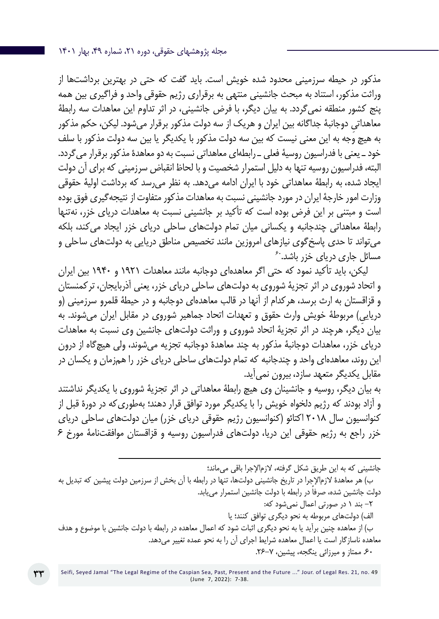مذکور در حیطه سرزمینی محدود شده خویش است. باید گفت که حتی در بهترین برداشتها از وراثت مذکور، استناد به مبحث جانشینی منتهی به برقراری رژیم حقوقی واحد و فراگیری بین همه پنج کشور منطقه نمیگردد. به بیان دیگر، با فرض جانشینی، در اثر تداوم این معاهدات سه رابطۀ ِ معاهداتی دوجانبۀ جداگانه بین ایران و هریک از سه دولت مذکور برقرار میشود. لیکن، حکم مذکور به هیچ وجه به این معنی نیست که بین سه دولت مذکور با یکدیگر یا بین سه دولت مذکور با سلف خود ـ یعنی با فدراسیون روسیۀ فعلی ـ رابطهای معاهداتی نسبت به دو معاهدۀ مذکور برقرار میگردد. البته، فدراسیون روسیه تنها به دلیل استمرار شخصیت و با لحاظ انقباض سرزمینی که برای آن دولت ایجاد شده، به رابطۀ معاهداتی خود با ایران ادامه میدهد. به نظر میرسد که برداشت اولیۀ حقوقی وزارت امور خارجۀ ایران در مورد جانشینی نسبت به معاهدات مذکور متفاوت از نتیجهگیری فوق بوده است و مبتنی بر این فرض بوده است که تأکید بر جانشینی نسبت به معاهدات دریای خزر، نهتنها رابطۀ معاهداتی چندجانبه و یکسانی میان تمام دولتهای ساحلی دریای خزر ایجاد می کند، بلکه میتواند تا حدی پاسخگوی نیازهای امروزین مانند تخصیص مناطق دریایی به دولتهای ساحلی و<br>مسائل جاری دریای خزر باشد.<sup>۶۰</sup>

لیکن، باید تأکید نمود که حتی اگر معاهدهای دوجانبه مانند معاهدات 1921 و 1940 بین ایران و اتحاد شوروی در اثر تجزیۀ شوروی به دولتهای ساحلی دریای خزر، یعنی آذربایجان، ترکمنستان و قزاقستان به ارث برسد، هرکدام از آنها در قالب معاهدهای دوجانبه و در حیطۀ قلمرو سرزمینی )و دریایی) مربوطۀ خویش وارث حقوق و تعهدات اتحاد جماهیر شوروی در مقابل ایران می شوند. به بیان دیگر، هرچند در اثر تجزیۀ اتحاد شوروی و وراثت دولتهای جانشین وی نسبت به معاهدات دریای خزر، معاهدات دوجانبۀ مذکور به چند معاهدۀ دوجانبه تجزیه میشوند، ولی هیچگاه از درون این روند، معاهدهای واحد و چندجانبه که تمام دولتهای ساحلی دریای خزر را همزمان و یکسان در مقابل یکدیگر متعهد سازد، بیرون نمیآید.

به بیان دیگر، روسیه و جانشینان وی هیچ رابطۀ معاهداتی در اثر تجزیۀ شوروی با یکدیگر نداشتند و آزاد بودند که رژیم دلخواه خویش را با یکدیگر مورد توافق قرار دهند؛ بهطوریکه در دورۀ قبل از کنوانسیون سال 2018 اکتائو )کنوانسیون رژیم حقوقی دریای خزر( میان دولتهای ساحلی دریای خزر راجع به رژیم حقوقی این دریا، دولتهای فدراسیون روسیه و قزاقستان موافقتنامۀ مورخ 6

جانشینی که به این طریق شکل گرفته، الزماإلجرا باقی میماند؛ ب) هر معاهدۀ لازمالإجرا در تاریخ جانشینی دولتها، تنها در رابطه با آن بخش از سرزمین دولت پیشین که تبدیل به ً دولت جانشین شده، صرفا در رابطه با دولت جانشین استمرار مییابد. -2 بند 1 در صورتی اعمال نمیشود که: الف) دولتهای مربوطه به نحو دیگری توافق کنند؛ یا ب) از معاهده چنین برآید یا به نحو دیگری اثبات شود که اعمال معاهده در رابطه با دولت جانشین با موضوع و هدف معاهده ناسازگار است یا اعمال معاهده شرایط اجرای آن را به نحو عمده تغییر میدهد. .60 ممتاز و میرزائی ینگجه، پیشین، .26-7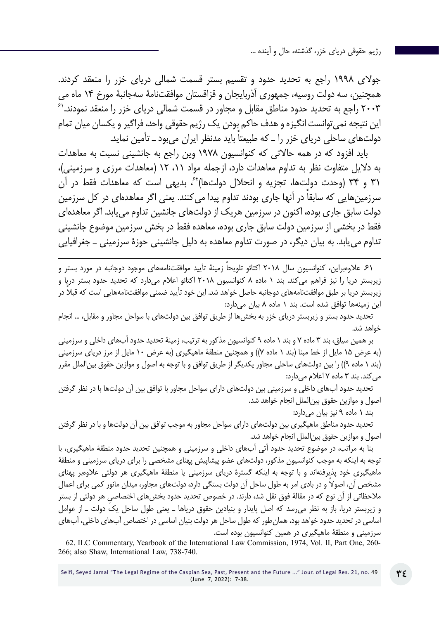جوالی 1998 راجع به تحدید حدود و تقسیم بستر قسمت شمالی دریای خزر را منعقد کردند. همچنین، سه دولت روسیه، جمهوری آذربایجان و قزاقستان موافقتنامۀ سهجانبۀ مورخ 14 ماه می 2003 راجع به تحدید حدود مناطق مقابل و مجاور در قسمت شمالی دریای خزر را منعقد نمودند61. این نتیجه نمیتوانست انگیزه و هدف حاکم بودن یک رژیم حقوقی واحد، فراگیر و یکسان میان تمام دولت های ساحلی دریای خزر را ــ که طبیعتاً باید مدنظر ایران می بود ــ تأمین نماید.

باید افزود که در همه حاالتی که کنوانسیون 1978 وین راجع به جانشینی نسبت به معاهدات به دالیل متفاوت نظر به تداوم معاهدات دارد، ازجمله مواد ،11 12 )معاهدات مرزی و سرزمینی(، 31 و 34 )وحدت دولتها، تجزیه و انحالل دولتها(،62 بدیهی است که معاهدات فقط در آن سرزمین هایی که سابقا در آنها جاری بودند تداوم پیدا میکنند. یعنی اگر معاهدهای در کل سرزمین دولت سابق جاری بوده، اکنون در سرزمین هریک از دولتهای جانشین تداوم مییابد. اگر معاهدهای فقط در بخشی از سرزمین دولت سابق جاری بوده، معاهده فقط در بخش سرزمین موضوع جانشینی تداوم مییابد. به بیان دیگر، در صورت تداوم معاهده به دلیل جانشینی حوزۀ سرزمینی ـ جغرافیایی

.61 عالوهبراین، کنوانسیون سال 2018 ً اکتائو تلویحا زمینۀ تأیید موافقتنامههای موجود دوجانبه در مورد بستر و زیربستر دریا را نیز فراهم میکند. بند 1 ماده 8 کنوانسیون 2018 اکتائو اعالم میدارد که تحدید حدود بستر دریا و زیربستر دریا بر طبق موافقتنامههای دوجانبه حاصل خواهد شد. این خود تأیید ضمنی موافقتنامههایی است که قبلاً در این زمینهها توافق شده است. بند 1 ماده 8 بیان میدارد:

تحدید حدود بستر و زیربستر دریای خزر به بخشها از طریق توافق بین دولتهای با سواحل مجاور و مقابل، ... انجام خواهد شد.

بر همین سیاق، بند 3 ماده 7 و بند 1 ماده 9 کنوانسیون مذکور به ترتیب، زمینۀ تحدید حدود آبهای داخلی و سرزمینی )به عرض 15 مایل از خط مبنا )بند 1 ماده 7(( و همچنین منطقۀ ماهیگیری )به عرض 10 مایل از مرز دریای سرزمینی )بند 1 ماده 9(( را بین دولتهای ساحلی مجاور یکدیگر از طریق توافق و با توجه به اصول و موازین حقوق بینالملل مقرر می کند. بند ۳ ماده ۷ اعلام می دارد:

تحدید حدود آبهای داخلی و سرزمینی بین دولتهای دارای سواحل مجاور با توافق بین آن دولتها با در نظر گرفتن اصول و موازین حقوق بینالملل انجام خواهد شد.

بند 1 ماده 9 نیز بیان میدارد:

تحدید حدود مناطق ماهیگیری بین دولتهای دارای سواحل مجاور به موجب توافق بین آن دولتها و با در نظر گرفتن اصول و موازین حقوق بینالملل انجام خواهد شد.

بنا به مراتب، در موضوع تحدید حدود آتی آبهای داخلی و سرزمینی و همچنین تحدید حدود منطقۀ ماهیگیری، با توجه به اینکه به موجب کنوانسیون مذکور، دولتهای عضو پیشاپیش پهنای مشخصی را برای دریای سرزمینی و منطقۀ ماهیگیری خود پذیرفتهاند و با توجه به اینکه گسترۀ دریای سرزمینی یا منطقۀ ماهیگیری هر دولتی عالوهبر پهنای ً مشخص آن، اصوال و در بادی امر به طول ساحل آن دولت بستگی دارد، دولتهای مجاور، میدان مانور کمی برای اعمال مالحظاتی از آن نوع که در مقالۀ فوق نقل شد، دارند. در خصوص تحدید حدود بخش ِ های اختصاصی هر دولتی از بستر و زیربستر دریا، باز به نظر میرسد که اصل پایدار و بنیادین حقوق دریاها ـ یعنی طول ساحل یک دولت ـ از عوامل اساسی در تحدید حدود خواهد بود، همانطور که طول ساحل هر دولت بنیان اساسی در اختصاص آبهای داخلی، آبهای سرزمینی و منطقۀ ماهیگیری در همین کنوانسیون بوده است.

62. ILC Commentary, Yearbook of the International Law Commission, 1974, Vol. II, Part One, 260- 266; also Shaw, International Law, 738-740.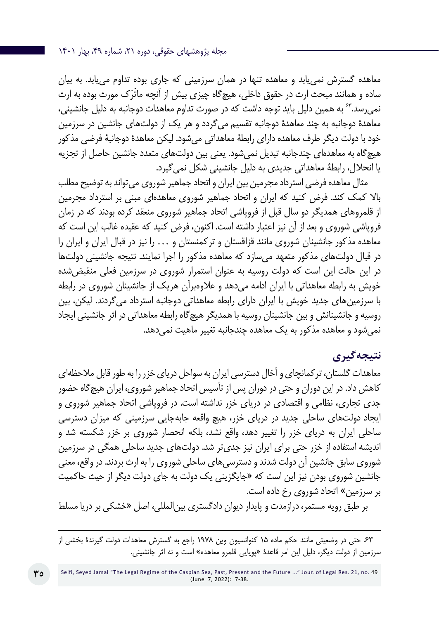معاهده گسترش نمییابد و معاهده تنها در همان سرزمینی که جاری بوده تداوم مییابد. به بیان ساده و همانند مبحث ارث در حقوق داخلی، هیچگاه چیزی بیش از آنچه ماتَرَک مورث بوده به ارث نمیرسد63. به همین دلیل باید توجه داشت که در صورت تداوم معاهدات دوجانبه به دلیل جانشینی، معاهدۀ دوجانبه به چند معاهدۀ دوجانبه تقسیم میگردد و هر یک از دولتهای جانشین در سرزمین خود با دولت دیگر طرف معاهده دارای رابطۀ معاهداتی میشود. لیکن معاهدۀ دوجانبۀ فرضی مذکور هیچگاه به معاهدهای چندجانبه تبدیل نمیشود. یعنی بین دولتهای متعدد جانشین حاصل از تجزیه یا انحالل، رابطۀ معاهداتی جدیدی به دلیل جانشینی شکل نمیگیرد.

مثال معاهده فرضی استرداد مجرمین بین ایران و اتحاد جماهیر شوروی میتواند به توضیح مطلب باال کمک کند. فرض کنید که ایران و اتحاد جماهیر شوروی معاهدهای مبنی بر استرداد مجرمین از قلمروهای همدیگر دو سال قبل از فروپاشی اتحاد جماهیر شوروی منعقد کرده بودند که در زمان فروپاشی شوروی و بعد از آن نیز اعتبار داشته است. اکنون، فرض کنید که عقیده غالب این است که معاهده مذکور جانشینان شوروی مانند قزاقستان و ترکمنستان و ... را نیز در قبال ایران و ایران را در قبال دولتهای مذکور متعهد میسازد که معاهده مذکور را اجرا نمایند. نتیجه جانشینی دولتها در این حالت این است که دولت روسیه به عنوان استمرار شوروی در سرزمین فعلی منقبضشده خویش به رابطه معاهداتی با ایران ادامه میدهد و عالوهبرآن هریک از جانشینان شوروی در رابطه با سرزمینهای جدید خویش با ایران دارای رابطه معاهداتی دوجانبه استرداد میگردند. لیکن، بین روسیه و جانشینانش و بین جانشینان روسیه با همدیگر هیچگاه رابطه معاهداتی در اثر جانشینی ایجاد نمی شود و معاهده مذکور به یک معاهده چندجانبه تغییر ماهیت نمی دهد.

## **نتیجهگیری**

معاهدات گلستان، ترکمانچای و آخال دسترسی ایران به سواحل دریای خزر را به طور قابل مالحظهای کاهش داد. در این دوران و حتی در دوران پس از تأسیس اتحاد جماهیر شوروی، ایران هیچگاه حضور جدی تجاری، نظامی و اقتصادی در دریای خزر نداشته است. در فروپاشی اتحاد جماهیر شوروی و ایجاد دولتهای ساحلی جدید در دریای خزر، هیچ واقعه جابهجایی سرزمینی که میزان دسترسی ساحلی ایران به دریای خزر را تغییر دهد، واقع نشد، بلکه انحصار شوروی بر خزر شکسته شد و اندیشه استفاده از خزر حتی برای ایران نیز جدیتر شد. دولتهای جدید ساحلی همگی در سرزمین شوروی سابق جانشین آن دولت شدند و دسترسیهای ساحلی شوروی را به ارث بردند. در واقع، معنی جانشین شوروی بودن نیز این است که »جایگزینی یک دولت به جای دولت دیگر از حیث حاکمیت بر سرزمین« اتحاد شوروی رخ داده است.

بر طبق رویه مستمر، درازمدت و پایدار دیوان دادگستری بینالمللی، اصل »خشکی بر دریا مسلط

.63 حتی در وضعیتی مانند حکم ماده 15 کنوانسیون وین 1978 راجع به گسترش معاهدات دولت گیرندۀ بخشی از سرزمین از دولت دیگر، دلیل این امر قاعدۀ »پویایی قلمرو معاهده« است و نه اثر جانشینی.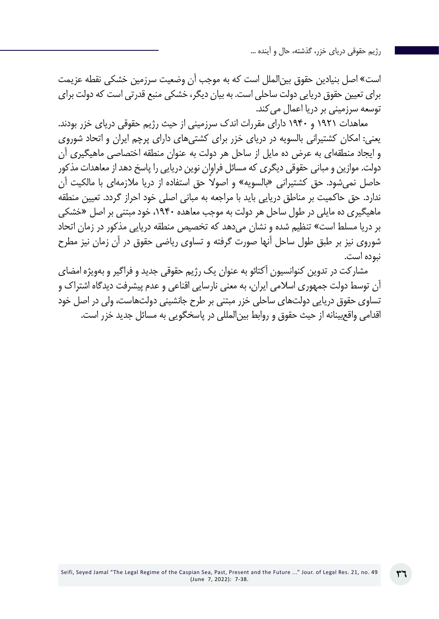است« اصل بنیادین حقوق بینالملل است که به موجب آن وضعیت سرزمین خشکی نقطه عزیمت برای تعیین حقوق دریایی دولت ساحلی است. به بیان دیگر، خشکی منبع قدرتی است که دولت برای توسعه سرزمینی بر دریا اعمال میکند.

معاهدات 1921 و 1940 دارای مقررات اندک سرزمینی از حیث رژیم حقوقی دریای خزر بودند. یعنی: امکان کشتیرانی بالسویه در دریای خزر برای کشتیهای دارای پرچم ایران و اتحاد شوروی و ایجاد منطقهای به عرض ده مایل از ساحل هر دولت به عنوان منطقه اختصاصی ماهیگیری آن دولت. موازین و مبانی حقوقی دیگری که مسائل فراوان نوین دریایی را پاسخ دهد از معاهدات مذکور حاصل نمی ً شود. حق کشتیرانی »بالسویه« و اصوال حق استفاده از دریا مالزمهای با مالکیت آن ندارد. حق حاکمیت بر مناطق دریایی باید با مراجعه به مبانی اصلی خود احراز گردد. تعیین منطقه ماهیگیری ده مایلی در طول ساحل هر دولت به موجب معاهده ،1940 خود مبتنی بر اصل »خشکی بر دریا مسلط است« تنظیم شده و نشان میدهد که تخصیص منطقه دریایی مذکور در زمان اتحاد شوروی نیز بر طبق طول ساحل آنها صورت گرفته و تساوی ریاضی حقوق در آن زمان نیز مطرح نبوده است.

مشارکت در تدوین کنوانسیون آکتائو به عنوان یک رژیم حقوقی جدید و فراگیر و بهویژه امضای آن توسط دولت جمهوری اسالمی ایران، به معنی نارسایی اقناعی و عدم پیشرفت دیدگاه اشتراک و تساوی حقوق دریایی دولتهای ساحلی خزر مبتنی بر طرح جانشینی دولتهاست، ولی در اصل خود اقدامی واقعبینانه از حیث حقوق و روابط بینالمللی در پاسخگویی به مسائل جدید خزر است.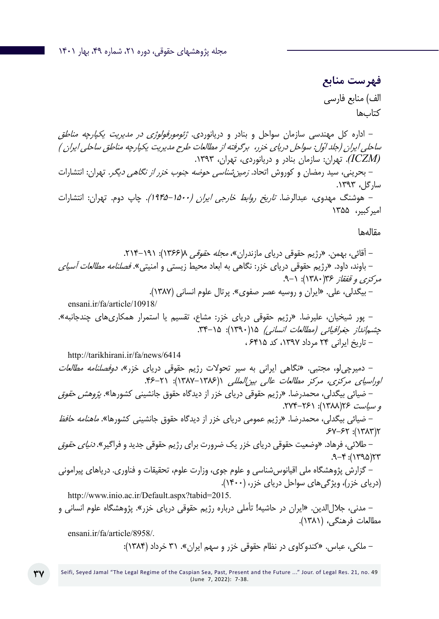**فهرست منابع** الف) منابع فارسی کتابها

- اداره کل مهندسی سازمان سواحل و بنادر و دریانوردی. ژئومورفولوژي در مديريت يكپارچه مناطق ساحلي ايران (جلد اوّل: سواحل درياي خزر، برگرفته از مطالعات طرح مديريت يكپارچه مناطق ساحلي ايران ) *)ICZM)*. تهران: سازمان بنادر و دریانوردی، تهران، .1393 - بحرینی، سید رمضان و کوروش اتحاد. زمینشناسی حوضه جنوب خزر از نگاهی دیگر. تهران: انتشارات سارگل، .1393 - هوشنگ مهدوی، عبدالرضا. تاریخ روابط خارجی ایران )1945-1500(. چاپ دوم. تهران: انتشارات

امیرکبیر، 1355

مقالهها

 $.9 - f$ : (١٣٩٥)٢٣

- آقائی، بهمن. »رژیم حقوقی دریای مازندران«، مجله حقوقی 8)1366(: .214-191 - باوند، داود. »رژیم حقوقی دریای خزر: نگاهی به ابعاد محیط زیستی و امنیتی«. فصلنامه مطالعات آسیای مرکزی و قفقاز 36)1380(: .9-1 - بیگدلی، علی. »ایران و روسیه عصر صفوی«. پرتال علوم انسانی )1387(. ensani.ir/fa/article/10918/ - پور شیخیان، علیرضا. »رژیم حقوقی دریای خزر: مشاع، تقسیم یا استمرار همکاریهای چندجانبه«. چشمانداز جغرافیائی )مطالعات انسانی( 15)1390(: .34-15 - تاریخ ایرانی 24 مرداد ،1397 کد 6415 ، http://tarikhirani.ir/fa/news/6414 - دمیرچیلو، مجتبی. »نگاهی ایرانی به سیر تحوالت رژیم حقوقی دریای خزر«، دوفصلنامه مطالعات اوراسیای مرکزی، مرکز مطالعات عالی بینالمللی 1)1387-1386(: .46-21 - ضیائی بیگدلی، محمدرضا. »رژیم حقوقی دریای خزر از دیدگاه حقوق جانشینی کشورها«. پژوهش حقوق و سیاست 26)1388(: .274-261 - ضیائی بیگدلی، محمدرضا. »رژیم عمومی دریای خزر از دیدگاه حقوق جانشینی کشورها«. ماهنامه حافظ .67-62 :)1383(2 - طالئی، فرهاد. »وضعیت حقوقی دریای خزر یک ضرورت برای رژیم حقوقی جدید و فراگیر«. دنیای حقوق

- گزارش پژوهشگاه ملی اقیانوسشناسی و علوم جوی، وزارت علوم، تحقیقات و فناوری. دریاهای پیرامونی )دریای خزر(، ویژگیهای سواحل دریای خزر، )1400(.

http://www.inio.ac.ir/Default.aspx?tabid=2015.

- مدنی، جاللالدین. »ایران در حاشیه! تأملی درباره رژیم حقوقی دریای خزر«. پژوهشگاه علوم انسانی و مطالعات فرهنگی، )1381(.

ensani.ir/fa/article/8958/.

- ملکی، عباس. »کندوکاوی در نظام حقوقی خزر و سهم ایران«. 31 خرداد )1384(: